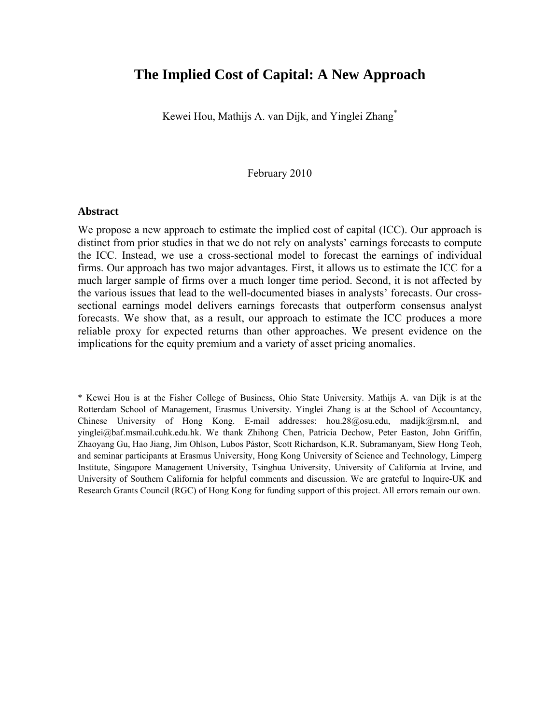# **The Implied Cost of Capital: A New Approach**

Kewei Hou, Mathijs A. van Dijk, and Yinglei Zhang\*

February 2010

#### **Abstract**

We propose a new approach to estimate the implied cost of capital (ICC). Our approach is distinct from prior studies in that we do not rely on analysts' earnings forecasts to compute the ICC. Instead, we use a cross-sectional model to forecast the earnings of individual firms. Our approach has two major advantages. First, it allows us to estimate the ICC for a much larger sample of firms over a much longer time period. Second, it is not affected by the various issues that lead to the well-documented biases in analysts' forecasts. Our crosssectional earnings model delivers earnings forecasts that outperform consensus analyst forecasts. We show that, as a result, our approach to estimate the ICC produces a more reliable proxy for expected returns than other approaches. We present evidence on the implications for the equity premium and a variety of asset pricing anomalies.

\* Kewei Hou is at the Fisher College of Business, Ohio State University. Mathijs A. van Dijk is at the Rotterdam School of Management, Erasmus University. Yinglei Zhang is at the School of Accountancy, Chinese University of Hong Kong. E-mail addresses: hou.28@osu.edu, madijk@rsm.nl, and yinglei@baf.msmail.cuhk.edu.hk. We thank Zhihong Chen, Patricia Dechow, Peter Easton, John Griffin, Zhaoyang Gu, Hao Jiang, Jim Ohlson, Lubos Pástor, Scott Richardson, K.R. Subramanyam, Siew Hong Teoh, and seminar participants at Erasmus University, Hong Kong University of Science and Technology, Limperg Institute, Singapore Management University, Tsinghua University, University of California at Irvine, and University of Southern California for helpful comments and discussion. We are grateful to Inquire-UK and Research Grants Council (RGC) of Hong Kong for funding support of this project. All errors remain our own.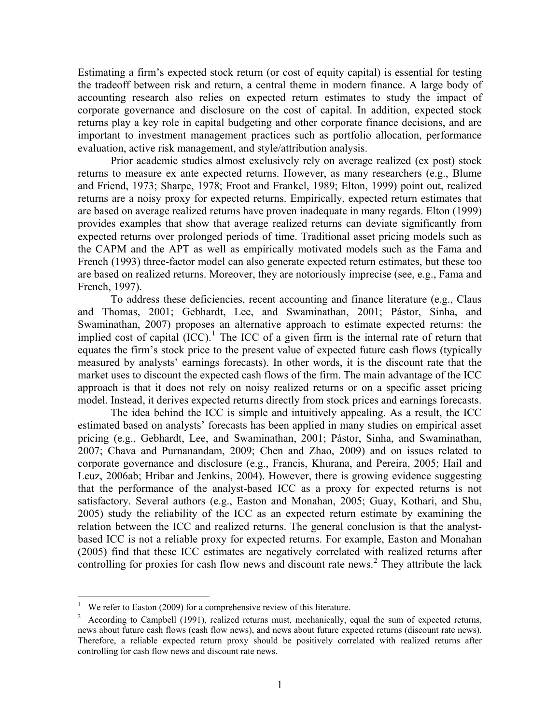Estimating a firm's expected stock return (or cost of equity capital) is essential for testing the tradeoff between risk and return, a central theme in modern finance. A large body of accounting research also relies on expected return estimates to study the impact of corporate governance and disclosure on the cost of capital. In addition, expected stock returns play a key role in capital budgeting and other corporate finance decisions, and are important to investment management practices such as portfolio allocation, performance evaluation, active risk management, and style/attribution analysis.

 Prior academic studies almost exclusively rely on average realized (ex post) stock returns to measure ex ante expected returns. However, as many researchers (e.g., Blume and Friend, 1973; Sharpe, 1978; Froot and Frankel, 1989; Elton, 1999) point out, realized returns are a noisy proxy for expected returns. Empirically, expected return estimates that are based on average realized returns have proven inadequate in many regards. Elton (1999) provides examples that show that average realized returns can deviate significantly from expected returns over prolonged periods of time. Traditional asset pricing models such as the CAPM and the APT as well as empirically motivated models such as the Fama and French (1993) three-factor model can also generate expected return estimates, but these too are based on realized returns. Moreover, they are notoriously imprecise (see, e.g., Fama and French, 1997).

To address these deficiencies, recent accounting and finance literature (e.g., Claus and Thomas, 2001; Gebhardt, Lee, and Swaminathan, 2001; Pástor, Sinha, and Swaminathan, 2007) proposes an alternative approach to estimate expected returns: the implied cost of capital  $(ICC)^{1}$  $(ICC)^{1}$  $(ICC)^{1}$ . The ICC of a given firm is the internal rate of return that equates the firm's stock price to the present value of expected future cash flows (typically measured by analysts' earnings forecasts). In other words, it is the discount rate that the market uses to discount the expected cash flows of the firm. The main advantage of the ICC approach is that it does not rely on noisy realized returns or on a specific asset pricing model. Instead, it derives expected returns directly from stock prices and earnings forecasts.

The idea behind the ICC is simple and intuitively appealing. As a result, the ICC estimated based on analysts' forecasts has been applied in many studies on empirical asset pricing (e.g., Gebhardt, Lee, and Swaminathan, 2001; Pástor, Sinha, and Swaminathan, 2007; Chava and Purnanandam, 2009; Chen and Zhao, 2009) and on issues related to corporate governance and disclosure (e.g., Francis, Khurana, and Pereira, 2005; Hail and Leuz, 2006ab; Hribar and Jenkins, 2004). However, there is growing evidence suggesting that the performance of the analyst-based ICC as a proxy for expected returns is not satisfactory. Several authors (e.g., Easton and Monahan, 2005; Guay, Kothari, and Shu, 2005) study the reliability of the ICC as an expected return estimate by examining the relation between the ICC and realized returns. The general conclusion is that the analystbased ICC is not a reliable proxy for expected returns. For example, Easton and Monahan (2005) find that these ICC estimates are negatively correlated with realized returns after controlling for proxies for cash flow news and discount rate news.<sup>[2](#page-1-1)</sup> They attribute the lack

1

<sup>1</sup> We refer to Easton (2009) for a comprehensive review of this literature.

<span id="page-1-1"></span><span id="page-1-0"></span> $2^2$  According to Campbell (1991), realized returns must, mechanically, equal the sum of expected returns, news about future cash flows (cash flow news), and news about future expected returns (discount rate news). Therefore, a reliable expected return proxy should be positively correlated with realized returns after controlling for cash flow news and discount rate news.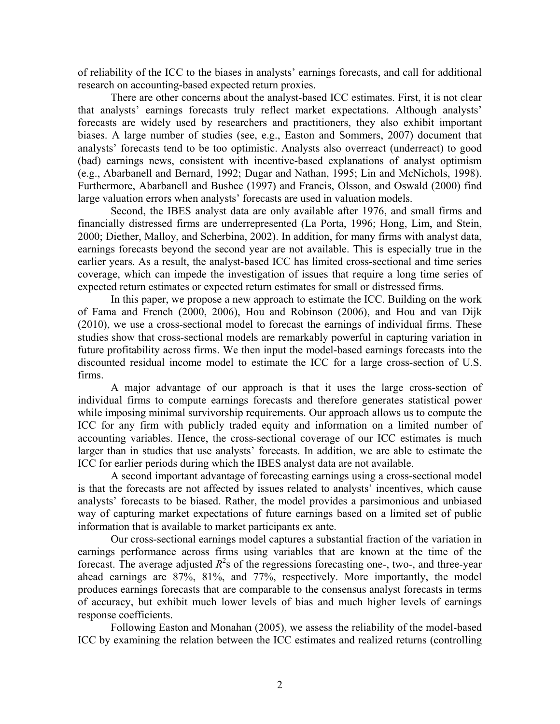of reliability of the ICC to the biases in analysts' earnings forecasts, and call for additional research on accounting-based expected return proxies.

There are other concerns about the analyst-based ICC estimates. First, it is not clear that analysts' earnings forecasts truly reflect market expectations. Although analysts' forecasts are widely used by researchers and practitioners, they also exhibit important biases. A large number of studies (see, e.g., Easton and Sommers, 2007) document that analysts' forecasts tend to be too optimistic. Analysts also overreact (underreact) to good (bad) earnings news, consistent with incentive-based explanations of analyst optimism (e.g., Abarbanell and Bernard, 1992; Dugar and Nathan, 1995; Lin and McNichols, 1998). Furthermore, Abarbanell and Bushee (1997) and Francis, Olsson, and Oswald (2000) find large valuation errors when analysts' forecasts are used in valuation models.

Second, the IBES analyst data are only available after 1976, and small firms and financially distressed firms are underrepresented (La Porta, 1996; Hong, Lim, and Stein, 2000; Diether, Malloy, and Scherbina, 2002). In addition, for many firms with analyst data, earnings forecasts beyond the second year are not available. This is especially true in the earlier years. As a result, the analyst-based ICC has limited cross-sectional and time series coverage, which can impede the investigation of issues that require a long time series of expected return estimates or expected return estimates for small or distressed firms.

In this paper, we propose a new approach to estimate the ICC. Building on the work of Fama and French (2000, 2006), Hou and Robinson (2006), and Hou and van Dijk (2010), we use a cross-sectional model to forecast the earnings of individual firms. These studies show that cross-sectional models are remarkably powerful in capturing variation in future profitability across firms. We then input the model-based earnings forecasts into the discounted residual income model to estimate the ICC for a large cross-section of U.S. firms.

 A major advantage of our approach is that it uses the large cross-section of individual firms to compute earnings forecasts and therefore generates statistical power while imposing minimal survivorship requirements. Our approach allows us to compute the ICC for any firm with publicly traded equity and information on a limited number of accounting variables. Hence, the cross-sectional coverage of our ICC estimates is much larger than in studies that use analysts' forecasts. In addition, we are able to estimate the ICC for earlier periods during which the IBES analyst data are not available.

 A second important advantage of forecasting earnings using a cross-sectional model is that the forecasts are not affected by issues related to analysts' incentives, which cause analysts' forecasts to be biased. Rather, the model provides a parsimonious and unbiased way of capturing market expectations of future earnings based on a limited set of public information that is available to market participants ex ante.

 Our cross-sectional earnings model captures a substantial fraction of the variation in earnings performance across firms using variables that are known at the time of the forecast. The average adjusted  $R^2$ s of the regressions forecasting one-, two-, and three-year ahead earnings are 87%, 81%, and 77%, respectively. More importantly, the model produces earnings forecasts that are comparable to the consensus analyst forecasts in terms of accuracy, but exhibit much lower levels of bias and much higher levels of earnings response coefficients.

Following Easton and Monahan (2005), we assess the reliability of the model-based ICC by examining the relation between the ICC estimates and realized returns (controlling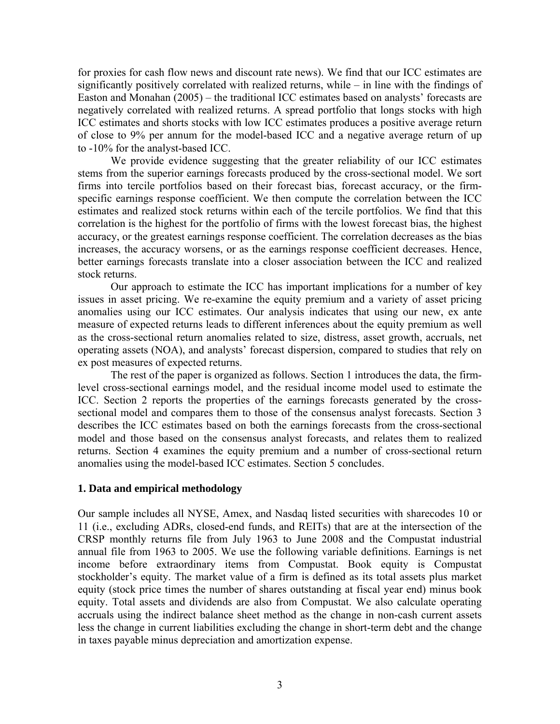for proxies for cash flow news and discount rate news). We find that our ICC estimates are significantly positively correlated with realized returns, while – in line with the findings of Easton and Monahan (2005) – the traditional ICC estimates based on analysts' forecasts are negatively correlated with realized returns. A spread portfolio that longs stocks with high ICC estimates and shorts stocks with low ICC estimates produces a positive average return of close to 9% per annum for the model-based ICC and a negative average return of up to -10% for the analyst-based ICC.

We provide evidence suggesting that the greater reliability of our ICC estimates stems from the superior earnings forecasts produced by the cross-sectional model. We sort firms into tercile portfolios based on their forecast bias, forecast accuracy, or the firmspecific earnings response coefficient. We then compute the correlation between the ICC estimates and realized stock returns within each of the tercile portfolios. We find that this correlation is the highest for the portfolio of firms with the lowest forecast bias, the highest accuracy, or the greatest earnings response coefficient. The correlation decreases as the bias increases, the accuracy worsens, or as the earnings response coefficient decreases. Hence, better earnings forecasts translate into a closer association between the ICC and realized stock returns.

Our approach to estimate the ICC has important implications for a number of key issues in asset pricing. We re-examine the equity premium and a variety of asset pricing anomalies using our ICC estimates. Our analysis indicates that using our new, ex ante measure of expected returns leads to different inferences about the equity premium as well as the cross-sectional return anomalies related to size, distress, asset growth, accruals, net operating assets (NOA), and analysts' forecast dispersion, compared to studies that rely on ex post measures of expected returns.

The rest of the paper is organized as follows. Section 1 introduces the data, the firmlevel cross-sectional earnings model, and the residual income model used to estimate the ICC. Section 2 reports the properties of the earnings forecasts generated by the crosssectional model and compares them to those of the consensus analyst forecasts. Section 3 describes the ICC estimates based on both the earnings forecasts from the cross-sectional model and those based on the consensus analyst forecasts, and relates them to realized returns. Section 4 examines the equity premium and a number of cross-sectional return anomalies using the model-based ICC estimates. Section 5 concludes.

# **1. Data and empirical methodology**

Our sample includes all NYSE, Amex, and Nasdaq listed securities with sharecodes 10 or 11 (i.e., excluding ADRs, closed-end funds, and REITs) that are at the intersection of the CRSP monthly returns file from July 1963 to June 2008 and the Compustat industrial annual file from 1963 to 2005. We use the following variable definitions. Earnings is net income before extraordinary items from Compustat. Book equity is Compustat stockholder's equity. The market value of a firm is defined as its total assets plus market equity (stock price times the number of shares outstanding at fiscal year end) minus book equity. Total assets and dividends are also from Compustat. We also calculate operating accruals using the indirect balance sheet method as the change in non-cash current assets less the change in current liabilities excluding the change in short-term debt and the change in taxes payable minus depreciation and amortization expense.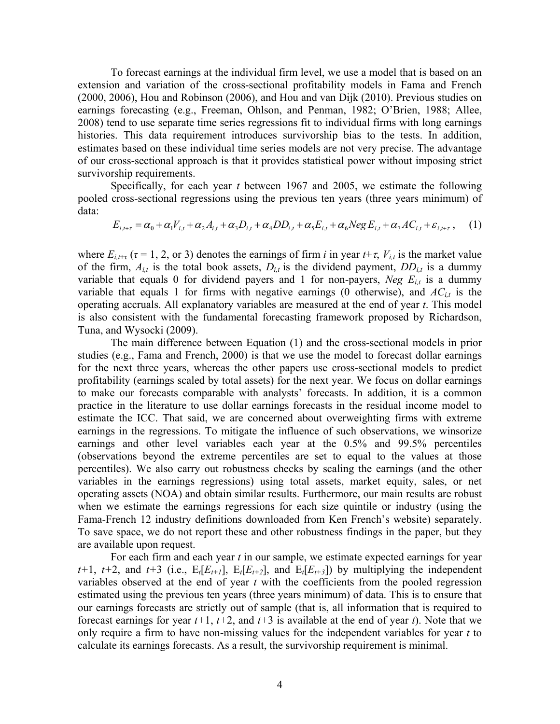To forecast earnings at the individual firm level, we use a model that is based on an extension and variation of the cross-sectional profitability models in Fama and French (2000, 2006), Hou and Robinson (2006), and Hou and van Dijk (2010). Previous studies on earnings forecasting (e.g., Freeman, Ohlson, and Penman, 1982; O'Brien, 1988; Allee, 2008) tend to use separate time series regressions fit to individual firms with long earnings histories. This data requirement introduces survivorship bias to the tests. In addition, estimates based on these individual time series models are not very precise. The advantage of our cross-sectional approach is that it provides statistical power without imposing strict survivorship requirements.

Specifically, for each year *t* between 1967 and 2005, we estimate the following pooled cross-sectional regressions using the previous ten years (three years minimum) of data:

$$
E_{i,t+\tau} = \alpha_0 + \alpha_1 V_{i,t} + \alpha_2 A_{i,t} + \alpha_3 D_{i,t} + \alpha_4 D D_{i,t} + \alpha_5 E_{i,t} + \alpha_6 N e g E_{i,t} + \alpha_7 A C_{i,t} + \varepsilon_{i,t+\tau}, \quad (1)
$$

where  $E_{i,t+\tau}$  ( $\tau = 1, 2, \text{ or } 3$ ) denotes the earnings of firm *i* in year  $t+\tau$ ,  $V_{i,t}$  is the market value of the firm,  $A_{i,t}$  is the total book assets,  $D_{i,t}$  is the dividend payment,  $DD_{i,t}$  is a dummy variable that equals 0 for dividend payers and 1 for non-payers, *Neg*  $E_{i,t}$  is a dummy variable that equals 1 for firms with negative earnings (0 otherwise), and  $AC_{i,t}$  is the operating accruals. All explanatory variables are measured at the end of year *t*. This model is also consistent with the fundamental forecasting framework proposed by Richardson, Tuna, and Wysocki (2009).

 The main difference between Equation (1) and the cross-sectional models in prior studies (e.g., Fama and French, 2000) is that we use the model to forecast dollar earnings for the next three years, whereas the other papers use cross-sectional models to predict profitability (earnings scaled by total assets) for the next year. We focus on dollar earnings to make our forecasts comparable with analysts' forecasts. In addition, it is a common practice in the literature to use dollar earnings forecasts in the residual income model to estimate the ICC. That said, we are concerned about overweighting firms with extreme earnings in the regressions. To mitigate the influence of such observations, we winsorize earnings and other level variables each year at the 0.5% and 99.5% percentiles (observations beyond the extreme percentiles are set to equal to the values at those percentiles). We also carry out robustness checks by scaling the earnings (and the other variables in the earnings regressions) using total assets, market equity, sales, or net operating assets (NOA) and obtain similar results. Furthermore, our main results are robust when we estimate the earnings regressions for each size quintile or industry (using the Fama-French 12 industry definitions downloaded from Ken French's website) separately. To save space, we do not report these and other robustness findings in the paper, but they are available upon request.

 For each firm and each year *t* in our sample, we estimate expected earnings for year  $t+1$ ,  $t+2$ , and  $t+3$  (i.e.,  $E_t[E_{t+1}]$ ,  $E_t[E_{t+2}]$ , and  $E_t[E_{t+3}]$ ) by multiplying the independent variables observed at the end of year *t* with the coefficients from the pooled regression estimated using the previous ten years (three years minimum) of data. This is to ensure that our earnings forecasts are strictly out of sample (that is, all information that is required to forecast earnings for year *t+*1, *t+*2, and *t+*3 is available at the end of year *t*). Note that we only require a firm to have non-missing values for the independent variables for year *t* to calculate its earnings forecasts. As a result, the survivorship requirement is minimal.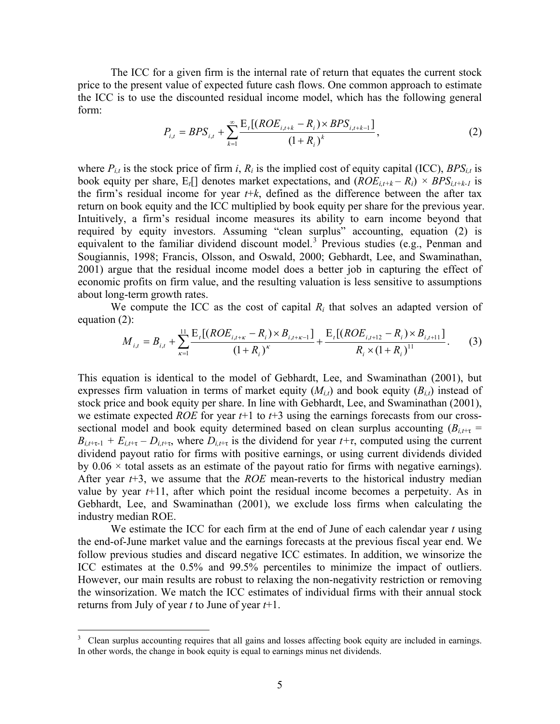<span id="page-5-0"></span>The ICC for a given firm is the internal rate of return that equates the current stock price to the present value of expected future cash flows. One common approach to estimate the ICC is to use the discounted residual income model, which has the following general form:

$$
P_{i,t} = BPS_{i,t} + \sum_{k=1}^{\infty} \frac{\mathrm{E}_{t}[(ROE_{i,t+k} - R_{i}) \times BPS_{i,t+k-1}]}{(1 + R_{i})^{k}}, \tag{2}
$$

where  $P_{i,t}$  is the stock price of firm *i*,  $R_i$  is the implied cost of equity capital (ICC),  $BPS_{i,t}$  is book equity per share,  $E_t$ [] denotes market expectations, and  $(ROE_{i,t+k} - R_i) \times BPS_{i,t+k-1}$  is the firm's residual income for year  $t+k$ , defined as the difference between the after tax return on book equity and the ICC multiplied by book equity per share for the previous year. Intuitively, a firm's residual income measures its ability to earn income beyond that required by equity investors. Assuming "clean surplus" accounting, equation (2) is equivalent to the familiar dividend discount model.<sup>[3](#page-5-0)</sup> Previous studies (e.g., Penman and Sougiannis, 1998; Francis, Olsson, and Oswald, 2000; Gebhardt, Lee, and Swaminathan, 2001) argue that the residual income model does a better job in capturing the effect of economic profits on firm value, and the resulting valuation is less sensitive to assumptions about long-term growth rates.

We compute the ICC as the cost of capital  $R_i$  that solves an adapted version of equation (2):

$$
M_{i,t} = B_{i,t} + \sum_{\kappa=1}^{11} \frac{E_t[(ROE_{i,t+\kappa} - R_i) \times B_{i,t+\kappa-1}]}{(1+R_i)^{\kappa}} + \frac{E_t[(ROE_{i,t+12} - R_i) \times B_{i,t+11}]}{R_i \times (1+R_i)^{11}}.
$$
 (3)

This equation is identical to the model of Gebhardt, Lee, and Swaminathan (2001), but expresses firm valuation in terms of market equity  $(M_{i,t})$  and book equity  $(B_{i,t})$  instead of stock price and book equity per share. In line with Gebhardt, Lee, and Swaminathan (2001), we estimate expected *ROE* for year *t*+1 to *t*+3 using the earnings forecasts from our crosssectional model and book equity determined based on clean surplus accounting  $(B_{i,t+\tau})$  $B_{i,t+\tau-1} + E_{i,t+\tau} - D_{i,t+\tau}$ , where  $D_{i,t+\tau}$  is the dividend for year  $t+\tau$ , computed using the current dividend payout ratio for firms with positive earnings, or using current dividends divided by  $0.06 \times$  total assets as an estimate of the payout ratio for firms with negative earnings). After year *t*+3, we assume that the *ROE* mean-reverts to the historical industry median value by year  $t+11$ , after which point the residual income becomes a perpetuity. As in Gebhardt, Lee, and Swaminathan (2001), we exclude loss firms when calculating the industry median ROE.

 We estimate the ICC for each firm at the end of June of each calendar year *t* using the end-of-June market value and the earnings forecasts at the previous fiscal year end. We follow previous studies and discard negative ICC estimates. In addition, we winsorize the ICC estimates at the 0.5% and 99.5% percentiles to minimize the impact of outliers. However, our main results are robust to relaxing the non-negativity restriction or removing the winsorization. We match the ICC estimates of individual firms with their annual stock returns from July of year *t* to June of year *t*+1.

<u>.</u>

<sup>3</sup> Clean surplus accounting requires that all gains and losses affecting book equity are included in earnings. In other words, the change in book equity is equal to earnings minus net dividends.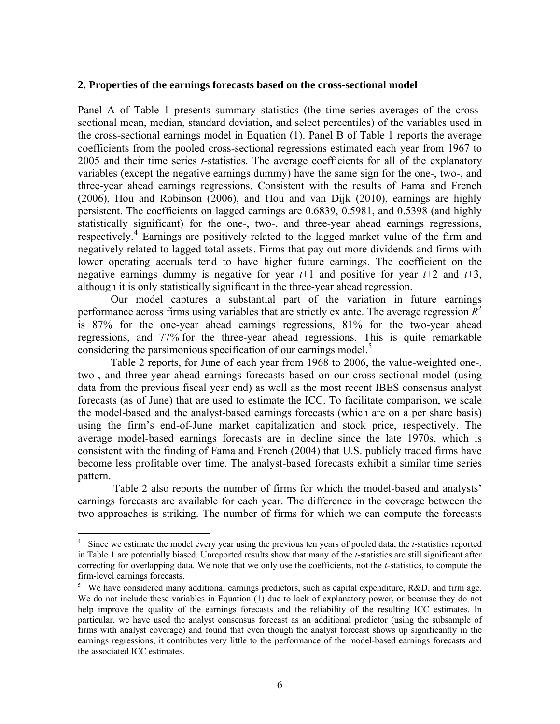#### <span id="page-6-0"></span>**2. Properties of the earnings forecasts based on the cross-sectional model**

Panel A of Table 1 presents summary statistics (the time series averages of the crosssectional mean, median, standard deviation, and select percentiles) of the variables used in the cross-sectional earnings model in Equation (1). Panel B of Table 1 reports the average coefficients from the pooled cross-sectional regressions estimated each year from 1967 to 2005 and their time series *t*-statistics. The average coefficients for all of the explanatory variables (except the negative earnings dummy) have the same sign for the one-, two-, and three-year ahead earnings regressions. Consistent with the results of Fama and French (2006), Hou and Robinson (2006), and Hou and van Dijk (2010), earnings are highly persistent. The coefficients on lagged earnings are 0.6839, 0.5981, and 0.5398 (and highly statistically significant) for the one-, two-, and three-year ahead earnings regressions, respectively.<sup>[4](#page-6-0)</sup> Earnings are positively related to the lagged market value of the firm and negatively related to lagged total assets. Firms that pay out more dividends and firms with lower operating accruals tend to have higher future earnings. The coefficient on the negative earnings dummy is negative for year  $t+1$  and positive for year  $t+2$  and  $t+3$ , although it is only statistically significant in the three-year ahead regression.

Our model captures a substantial part of the variation in future earnings performance across firms using variables that are strictly ex ante. The average regression  $R^2$ is 87% for the one-year ahead earnings regressions, 81% for the two-year ahead regressions, and 77% for the three-year ahead regressions. This is quite remarkable considering the parsimonious specification of our earnings model.<sup>[5](#page-6-0)</sup>

Table 2 reports, for June of each year from 1968 to 2006, the value-weighted one-, two-, and three-year ahead earnings forecasts based on our cross-sectional model (using data from the previous fiscal year end) as well as the most recent IBES consensus analyst forecasts (as of June) that are used to estimate the ICC. To facilitate comparison, we scale the model-based and the analyst-based earnings forecasts (which are on a per share basis) using the firm's end-of-June market capitalization and stock price, respectively. The average model-based earnings forecasts are in decline since the late 1970s, which is consistent with the finding of Fama and French (2004) that U.S. publicly traded firms have become less profitable over time. The analyst-based forecasts exhibit a similar time series pattern.

 Table 2 also reports the number of firms for which the model-based and analysts' earnings forecasts are available for each year. The difference in the coverage between the two approaches is striking. The number of firms for which we can compute the forecasts

<sup>&</sup>lt;sup>4</sup> Since we estimate the model every year using the previous ten years of pooled data, the *t*-statistics reported in Table 1 are potentially biased. Unreported results show that many of the *t*-statistics are still significant after correcting for overlapping data. We note that we only use the coefficients, not the *t*-statistics, to compute the firm-level earnings forecasts.

<sup>&</sup>lt;sup>5</sup> We have considered many additional earnings predictors, such as capital expenditure, R&D, and firm age. We do not include these variables in Equation (1) due to lack of explanatory power, or because they do not help improve the quality of the earnings forecasts and the reliability of the resulting ICC estimates. In particular, we have used the analyst consensus forecast as an additional predictor (using the subsample of firms with analyst coverage) and found that even though the analyst forecast shows up significantly in the earnings regressions, it contributes very little to the performance of the model-based earnings forecasts and the associated ICC estimates.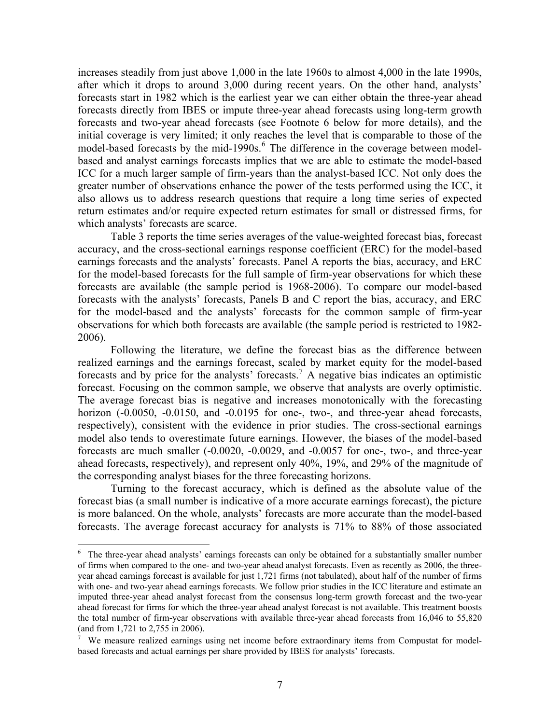<span id="page-7-0"></span>increases steadily from just above 1,000 in the late 1960s to almost 4,000 in the late 1990s, after which it drops to around 3,000 during recent years. On the other hand, analysts' forecasts start in 1982 which is the earliest year we can either obtain the three-year ahead forecasts directly from IBES or impute three-year ahead forecasts using long-term growth forecasts and two-year ahead forecasts (see Footnote 6 below for more details), and the initial coverage is very limited; it only reaches the level that is comparable to those of the model-based forecasts by the mid-1990s.<sup>[6](#page-7-0)</sup> The difference in the coverage between modelbased and analyst earnings forecasts implies that we are able to estimate the model-based ICC for a much larger sample of firm-years than the analyst-based ICC. Not only does the greater number of observations enhance the power of the tests performed using the ICC, it also allows us to address research questions that require a long time series of expected return estimates and/or require expected return estimates for small or distressed firms, for which analysts' forecasts are scarce.

Table 3 reports the time series averages of the value-weighted forecast bias, forecast accuracy, and the cross-sectional earnings response coefficient (ERC) for the model-based earnings forecasts and the analysts' forecasts. Panel A reports the bias, accuracy, and ERC for the model-based forecasts for the full sample of firm-year observations for which these forecasts are available (the sample period is 1968-2006). To compare our model-based forecasts with the analysts' forecasts, Panels B and C report the bias, accuracy, and ERC for the model-based and the analysts' forecasts for the common sample of firm-year observations for which both forecasts are available (the sample period is restricted to 1982- 2006).

 Following the literature, we define the forecast bias as the difference between realized earnings and the earnings forecast, scaled by market equity for the model-based forecasts and by price for the analysts' forecasts.<sup>[7](#page-7-0)</sup> A negative bias indicates an optimistic forecast. Focusing on the common sample, we observe that analysts are overly optimistic. The average forecast bias is negative and increases monotonically with the forecasting horizon (-0.0050, -0.0150, and -0.0195 for one-, two-, and three-year ahead forecasts, respectively), consistent with the evidence in prior studies. The cross-sectional earnings model also tends to overestimate future earnings. However, the biases of the model-based forecasts are much smaller (-0.0020, -0.0029, and -0.0057 for one-, two-, and three-year ahead forecasts, respectively), and represent only 40%, 19%, and 29% of the magnitude of the corresponding analyst biases for the three forecasting horizons.

 Turning to the forecast accuracy, which is defined as the absolute value of the forecast bias (a small number is indicative of a more accurate earnings forecast), the picture is more balanced. On the whole, analysts' forecasts are more accurate than the model-based forecasts. The average forecast accuracy for analysts is 71% to 88% of those associated

1

<sup>&</sup>lt;sup>6</sup> The three-year ahead analysts' earnings forecasts can only be obtained for a substantially smaller number of firms when compared to the one- and two-year ahead analyst forecasts. Even as recently as 2006, the threeyear ahead earnings forecast is available for just 1,721 firms (not tabulated), about half of the number of firms with one- and two-year ahead earnings forecasts. We follow prior studies in the ICC literature and estimate an imputed three-year ahead analyst forecast from the consensus long-term growth forecast and the two-year ahead forecast for firms for which the three-year ahead analyst forecast is not available. This treatment boosts the total number of firm-year observations with available three-year ahead forecasts from 16,046 to 55,820 (and from 1,721 to 2,755 in 2006).

<sup>7</sup> We measure realized earnings using net income before extraordinary items from Compustat for modelbased forecasts and actual earnings per share provided by IBES for analysts' forecasts.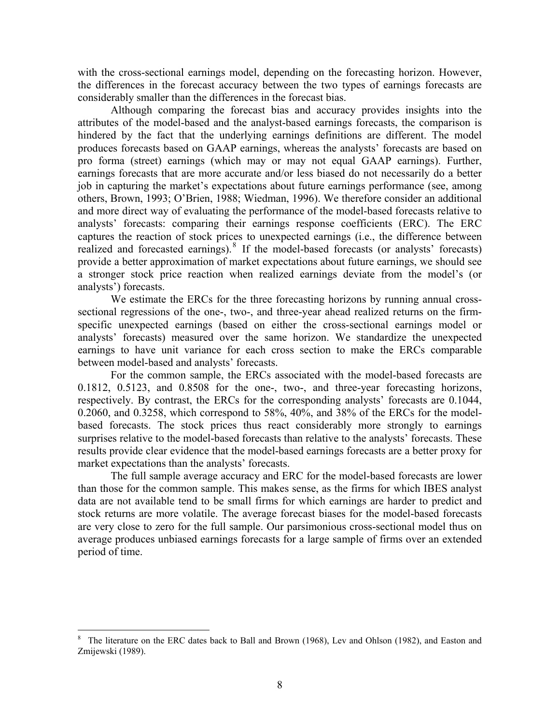<span id="page-8-0"></span>with the cross-sectional earnings model, depending on the forecasting horizon. However, the differences in the forecast accuracy between the two types of earnings forecasts are considerably smaller than the differences in the forecast bias.

Although comparing the forecast bias and accuracy provides insights into the attributes of the model-based and the analyst-based earnings forecasts, the comparison is hindered by the fact that the underlying earnings definitions are different. The model produces forecasts based on GAAP earnings, whereas the analysts' forecasts are based on pro forma (street) earnings (which may or may not equal GAAP earnings). Further, earnings forecasts that are more accurate and/or less biased do not necessarily do a better job in capturing the market's expectations about future earnings performance (see, among others, Brown, 1993; O'Brien, 1988; Wiedman, 1996). We therefore consider an additional and more direct way of evaluating the performance of the model-based forecasts relative to analysts' forecasts: comparing their earnings response coefficients (ERC). The ERC captures the reaction of stock prices to unexpected earnings (i.e., the difference between realized and forecasted earnings).<sup>[8](#page-8-0)</sup> If the model-based forecasts (or analysts' forecasts) provide a better approximation of market expectations about future earnings, we should see a stronger stock price reaction when realized earnings deviate from the model's (or analysts') forecasts.

We estimate the ERCs for the three forecasting horizons by running annual crosssectional regressions of the one-, two-, and three-year ahead realized returns on the firmspecific unexpected earnings (based on either the cross-sectional earnings model or analysts' forecasts) measured over the same horizon. We standardize the unexpected earnings to have unit variance for each cross section to make the ERCs comparable between model-based and analysts' forecasts.

For the common sample, the ERCs associated with the model-based forecasts are 0.1812, 0.5123, and 0.8508 for the one-, two-, and three-year forecasting horizons, respectively. By contrast, the ERCs for the corresponding analysts' forecasts are 0.1044, 0.2060, and 0.3258, which correspond to 58%, 40%, and 38% of the ERCs for the modelbased forecasts. The stock prices thus react considerably more strongly to earnings surprises relative to the model-based forecasts than relative to the analysts' forecasts. These results provide clear evidence that the model-based earnings forecasts are a better proxy for market expectations than the analysts' forecasts.

The full sample average accuracy and ERC for the model-based forecasts are lower than those for the common sample. This makes sense, as the firms for which IBES analyst data are not available tend to be small firms for which earnings are harder to predict and stock returns are more volatile. The average forecast biases for the model-based forecasts are very close to zero for the full sample. Our parsimonious cross-sectional model thus on average produces unbiased earnings forecasts for a large sample of firms over an extended period of time.

<sup>&</sup>lt;sup>8</sup> The literature on the ERC dates back to Ball and Brown (1968), Lev and Ohlson (1982), and Easton and Zmijewski (1989).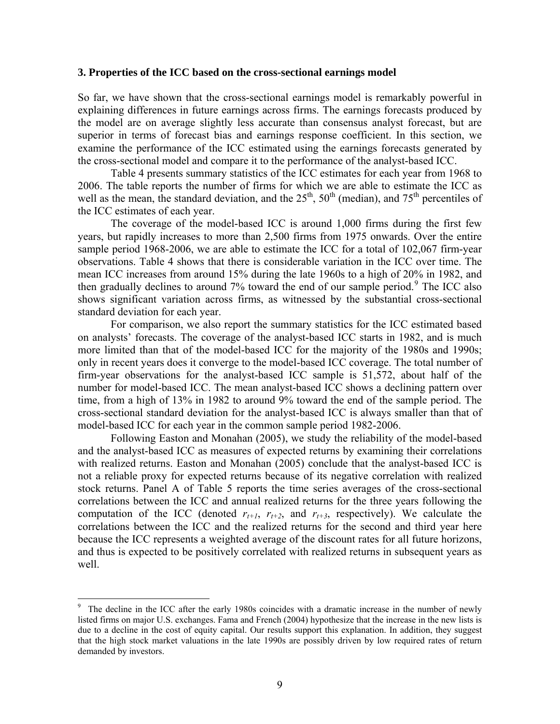#### <span id="page-9-0"></span>**3. Properties of the ICC based on the cross-sectional earnings model**

So far, we have shown that the cross-sectional earnings model is remarkably powerful in explaining differences in future earnings across firms. The earnings forecasts produced by the model are on average slightly less accurate than consensus analyst forecast, but are superior in terms of forecast bias and earnings response coefficient. In this section, we examine the performance of the ICC estimated using the earnings forecasts generated by the cross-sectional model and compare it to the performance of the analyst-based ICC.

 Table 4 presents summary statistics of the ICC estimates for each year from 1968 to 2006. The table reports the number of firms for which we are able to estimate the ICC as well as the mean, the standard deviation, and the  $25<sup>th</sup>$ ,  $50<sup>th</sup>$  (median), and  $75<sup>th</sup>$  percentiles of the ICC estimates of each year.

The coverage of the model-based ICC is around 1,000 firms during the first few years, but rapidly increases to more than 2,500 firms from 1975 onwards. Over the entire sample period 1968-2006, we are able to estimate the ICC for a total of 102,067 firm-year observations. Table 4 shows that there is considerable variation in the ICC over time. The mean ICC increases from around 15% during the late 1960s to a high of 20% in 1982, and then gradually declines to around 7% toward the end of our sample period.<sup>[9](#page-9-0)</sup> The ICC also shows significant variation across firms, as witnessed by the substantial cross-sectional standard deviation for each year.

 For comparison, we also report the summary statistics for the ICC estimated based on analysts' forecasts. The coverage of the analyst-based ICC starts in 1982, and is much more limited than that of the model-based ICC for the majority of the 1980s and 1990s; only in recent years does it converge to the model-based ICC coverage. The total number of firm-year observations for the analyst-based ICC sample is 51,572, about half of the number for model-based ICC. The mean analyst-based ICC shows a declining pattern over time, from a high of 13% in 1982 to around 9% toward the end of the sample period. The cross-sectional standard deviation for the analyst-based ICC is always smaller than that of model-based ICC for each year in the common sample period 1982-2006.

 Following Easton and Monahan (2005), we study the reliability of the model-based and the analyst-based ICC as measures of expected returns by examining their correlations with realized returns. Easton and Monahan (2005) conclude that the analyst-based ICC is not a reliable proxy for expected returns because of its negative correlation with realized stock returns. Panel A of Table 5 reports the time series averages of the cross-sectional correlations between the ICC and annual realized returns for the three years following the computation of the ICC (denoted  $r_{t+1}$ ,  $r_{t+2}$ , and  $r_{t+3}$ , respectively). We calculate the correlations between the ICC and the realized returns for the second and third year here because the ICC represents a weighted average of the discount rates for all future horizons, and thus is expected to be positively correlated with realized returns in subsequent years as well.

<u>.</u>

<sup>9</sup> The decline in the ICC after the early 1980s coincides with a dramatic increase in the number of newly listed firms on major U.S. exchanges. Fama and French (2004) hypothesize that the increase in the new lists is due to a decline in the cost of equity capital. Our results support this explanation. In addition, they suggest that the high stock market valuations in the late 1990s are possibly driven by low required rates of return demanded by investors.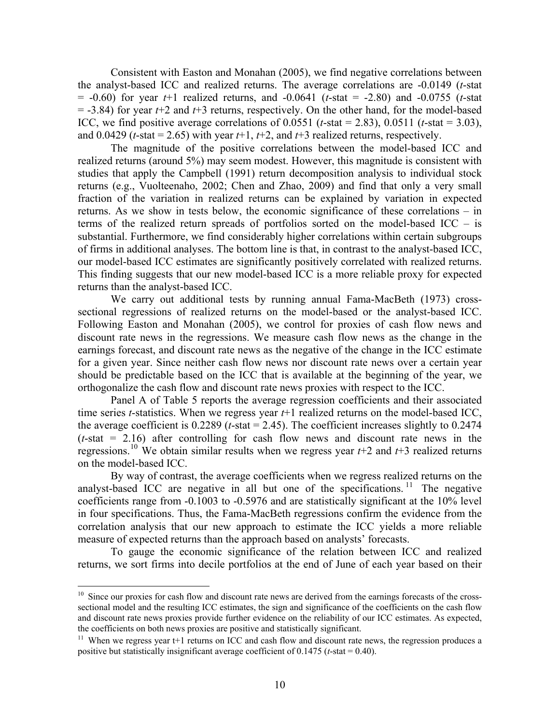<span id="page-10-0"></span> Consistent with Easton and Monahan (2005), we find negative correlations between the analyst-based ICC and realized returns. The average correlations are -0.0149 (*t*-stat = -0.60) for year *t*+1 realized returns, and -0.0641 (*t*-stat = -2.80) and -0.0755 (*t*-stat = -3.84) for year *t*+2 and *t*+3 returns, respectively. On the other hand, for the model-based ICC, we find positive average correlations of  $0.0551$  (*t*-stat = 2.83),  $0.0511$  (*t*-stat = 3.03), and  $0.0429$  (*t*-stat = 2.65) with year  $t+1$ ,  $t+2$ , and  $t+3$  realized returns, respectively.

The magnitude of the positive correlations between the model-based ICC and realized returns (around 5%) may seem modest. However, this magnitude is consistent with studies that apply the Campbell (1991) return decomposition analysis to individual stock returns (e.g., Vuolteenaho, 2002; Chen and Zhao, 2009) and find that only a very small fraction of the variation in realized returns can be explained by variation in expected returns. As we show in tests below, the economic significance of these correlations – in terms of the realized return spreads of portfolios sorted on the model-based ICC – is substantial. Furthermore, we find considerably higher correlations within certain subgroups of firms in additional analyses. The bottom line is that, in contrast to the analyst-based ICC, our model-based ICC estimates are significantly positively correlated with realized returns. This finding suggests that our new model-based ICC is a more reliable proxy for expected returns than the analyst-based ICC.

We carry out additional tests by running annual Fama-MacBeth (1973) crosssectional regressions of realized returns on the model-based or the analyst-based ICC. Following Easton and Monahan (2005), we control for proxies of cash flow news and discount rate news in the regressions. We measure cash flow news as the change in the earnings forecast, and discount rate news as the negative of the change in the ICC estimate for a given year. Since neither cash flow news nor discount rate news over a certain year should be predictable based on the ICC that is available at the beginning of the year, we orthogonalize the cash flow and discount rate news proxies with respect to the ICC.

Panel A of Table 5 reports the average regression coefficients and their associated time series *t*-statistics. When we regress year *t*+1 realized returns on the model-based ICC, the average coefficient is 0.2289 (*t*-stat = 2.45). The coefficient increases slightly to 0.2474 (*t*-stat = 2.16) after controlling for cash flow news and discount rate news in the regressions.<sup>[10](#page-10-0)</sup> We obtain similar results when we regress year  $t+2$  and  $t+3$  realized returns on the model-based ICC.

By way of contrast, the average coefficients when we regress realized returns on the analyst-based ICC are negative in all but one of the specifications. <sup>[11](#page-10-0)</sup> The negative coefficients range from -0.1003 to -0.5976 and are statistically significant at the 10% level in four specifications. Thus, the Fama-MacBeth regressions confirm the evidence from the correlation analysis that our new approach to estimate the ICC yields a more reliable measure of expected returns than the approach based on analysts' forecasts.

 To gauge the economic significance of the relation between ICC and realized returns, we sort firms into decile portfolios at the end of June of each year based on their

<u>.</u>

<sup>&</sup>lt;sup>10</sup> Since our proxies for cash flow and discount rate news are derived from the earnings forecasts of the crosssectional model and the resulting ICC estimates, the sign and significance of the coefficients on the cash flow and discount rate news proxies provide further evidence on the reliability of our ICC estimates. As expected, the coefficients on both news proxies are positive and statistically significant.

<sup>&</sup>lt;sup>11</sup> When we regress year t+1 returns on ICC and cash flow and discount rate news, the regression produces a positive but statistically insignificant average coefficient of 0.1475 (*t*-stat = 0.40).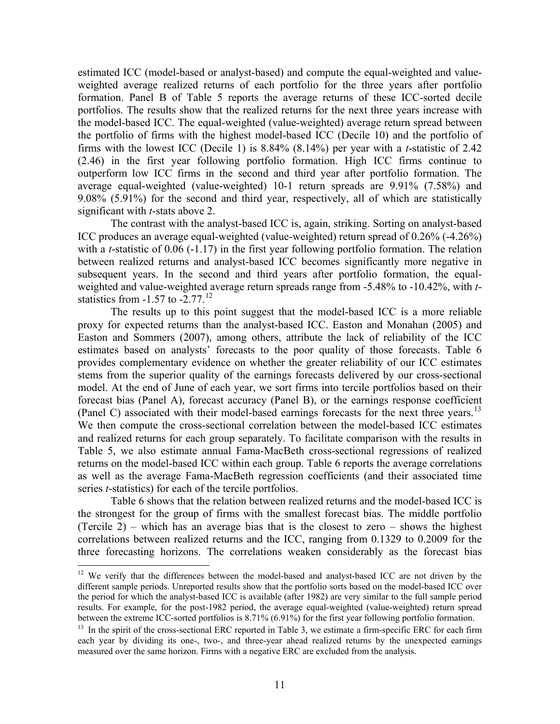<span id="page-11-0"></span>estimated ICC (model-based or analyst-based) and compute the equal-weighted and valueweighted average realized returns of each portfolio for the three years after portfolio formation. Panel B of Table 5 reports the average returns of these ICC-sorted decile portfolios. The results show that the realized returns for the next three years increase with the model-based ICC. The equal-weighted (value-weighted) average return spread between the portfolio of firms with the highest model-based ICC (Decile 10) and the portfolio of firms with the lowest ICC (Decile 1) is 8.84% (8.14%) per year with a *t*-statistic of 2.42 (2.46) in the first year following portfolio formation. High ICC firms continue to outperform low ICC firms in the second and third year after portfolio formation. The average equal-weighted (value-weighted) 10-1 return spreads are 9.91% (7.58%) and 9.08% (5.91%) for the second and third year, respectively, all of which are statistically significant with *t*-stats above 2.

 The contrast with the analyst-based ICC is, again, striking. Sorting on analyst-based ICC produces an average equal-weighted (value-weighted) return spread of 0.26% (-4.26%) with a *t*-statistic of 0.06 (-1.17) in the first year following portfolio formation. The relation between realized returns and analyst-based ICC becomes significantly more negative in subsequent years. In the second and third years after portfolio formation, the equalweighted and value-weighted average return spreads range from -5.48% to -10.42%, with *t*statistics from  $-1.57$  to  $-2.77$ .<sup>[12](#page-11-0)</sup>

The results up to this point suggest that the model-based ICC is a more reliable proxy for expected returns than the analyst-based ICC. Easton and Monahan (2005) and Easton and Sommers (2007), among others, attribute the lack of reliability of the ICC estimates based on analysts' forecasts to the poor quality of those forecasts. Table 6 provides complementary evidence on whether the greater reliability of our ICC estimates stems from the superior quality of the earnings forecasts delivered by our cross-sectional model. At the end of June of each year, we sort firms into tercile portfolios based on their forecast bias (Panel A), forecast accuracy (Panel B), or the earnings response coefficient (Panel C) associated with their model-based earnings forecasts for the next three years.<sup>[13](#page-11-0)</sup> We then compute the cross-sectional correlation between the model-based ICC estimates and realized returns for each group separately. To facilitate comparison with the results in Table 5, we also estimate annual Fama-MacBeth cross-sectional regressions of realized returns on the model-based ICC within each group. Table 6 reports the average correlations as well as the average Fama-MacBeth regression coefficients (and their associated time series *t*-statistics) for each of the tercile portfolios.

Table 6 shows that the relation between realized returns and the model-based ICC is the strongest for the group of firms with the smallest forecast bias. The middle portfolio (Tercile 2) – which has an average bias that is the closest to zero – shows the highest correlations between realized returns and the ICC, ranging from 0.1329 to 0.2009 for the three forecasting horizons. The correlations weaken considerably as the forecast bias

1

 $12$  We verify that the differences between the model-based and analyst-based ICC are not driven by the different sample periods. Unreported results show that the portfolio sorts based on the model-based ICC over the period for which the analyst-based ICC is available (after 1982) are very similar to the full sample period results. For example, for the post-1982 period, the average equal-weighted (value-weighted) return spread between the extreme ICC-sorted portfolios is 8.71% (6.91%) for the first year following portfolio formation.

 $^{13}$  In the spirit of the cross-sectional ERC reported in Table 3, we estimate a firm-specific ERC for each firm each year by dividing its one-, two-, and three-year ahead realized returns by the unexpected earnings measured over the same horizon. Firms with a negative ERC are excluded from the analysis.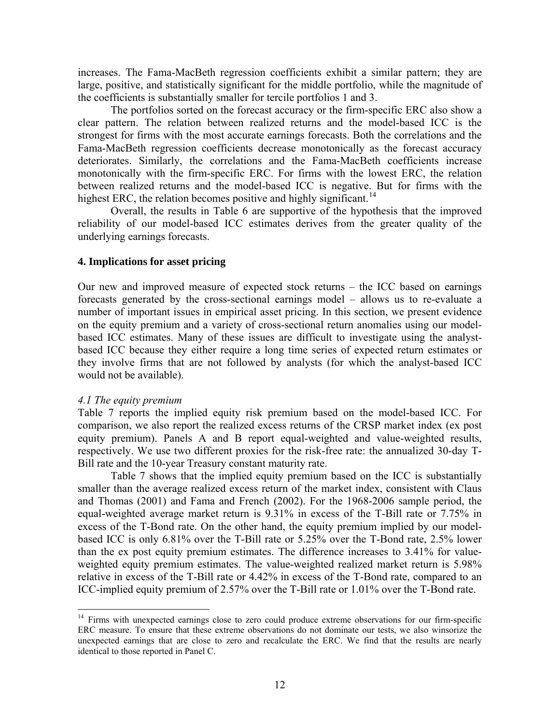<span id="page-12-0"></span>increases. The Fama-MacBeth regression coefficients exhibit a similar pattern; they are large, positive, and statistically significant for the middle portfolio, while the magnitude of the coefficients is substantially smaller for tercile portfolios 1 and 3.

The portfolios sorted on the forecast accuracy or the firm-specific ERC also show a clear pattern. The relation between realized returns and the model-based ICC is the strongest for firms with the most accurate earnings forecasts. Both the correlations and the Fama-MacBeth regression coefficients decrease monotonically as the forecast accuracy deteriorates. Similarly, the correlations and the Fama-MacBeth coefficients increase monotonically with the firm-specific ERC. For firms with the lowest ERC, the relation between realized returns and the model-based ICC is negative. But for firms with the highest ERC, the relation becomes positive and highly significant.<sup>[14](#page-12-0)</sup>

Overall, the results in Table 6 are supportive of the hypothesis that the improved reliability of our model-based ICC estimates derives from the greater quality of the underlying earnings forecasts.

#### **4. Implications for asset pricing**

Our new and improved measure of expected stock returns – the ICC based on earnings forecasts generated by the cross-sectional earnings model – allows us to re-evaluate a number of important issues in empirical asset pricing. In this section, we present evidence on the equity premium and a variety of cross-sectional return anomalies using our modelbased ICC estimates. Many of these issues are difficult to investigate using the analystbased ICC because they either require a long time series of expected return estimates or they involve firms that are not followed by analysts (for which the analyst-based ICC would not be available).

#### *4.1 The equity premium*

1

Table 7 reports the implied equity risk premium based on the model-based ICC. For comparison, we also report the realized excess returns of the CRSP market index (ex post equity premium). Panels A and B report equal-weighted and value-weighted results, respectively. We use two different proxies for the risk-free rate: the annualized 30-day T-Bill rate and the 10-year Treasury constant maturity rate.

Table 7 shows that the implied equity premium based on the ICC is substantially smaller than the average realized excess return of the market index, consistent with Claus and Thomas (2001) and Fama and French (2002). For the 1968-2006 sample period, the equal-weighted average market return is 9.31% in excess of the T-Bill rate or 7.75% in excess of the T-Bond rate. On the other hand, the equity premium implied by our modelbased ICC is only 6.81% over the T-Bill rate or 5.25% over the T-Bond rate, 2.5% lower than the ex post equity premium estimates. The difference increases to 3.41% for valueweighted equity premium estimates. The value-weighted realized market return is 5.98% relative in excess of the T-Bill rate or 4.42% in excess of the T-Bond rate, compared to an ICC-implied equity premium of 2.57% over the T-Bill rate or 1.01% over the T-Bond rate.

<sup>&</sup>lt;sup>14</sup> Firms with unexpected earnings close to zero could produce extreme observations for our firm-specific ERC measure. To ensure that these extreme observations do not dominate our tests, we also winsorize the unexpected earnings that are close to zero and recalculate the ERC. We find that the results are nearly identical to those reported in Panel C.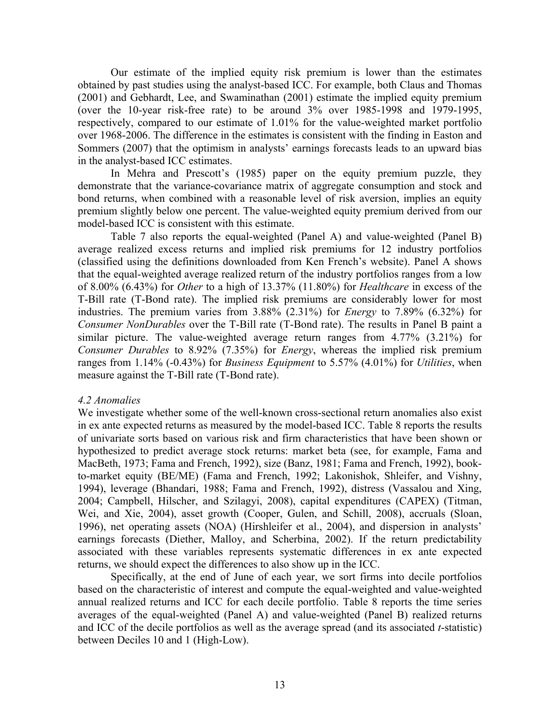Our estimate of the implied equity risk premium is lower than the estimates obtained by past studies using the analyst-based ICC. For example, both Claus and Thomas (2001) and Gebhardt, Lee, and Swaminathan (2001) estimate the implied equity premium (over the 10-year risk-free rate) to be around 3% over 1985-1998 and 1979-1995, respectively, compared to our estimate of 1.01% for the value-weighted market portfolio over 1968-2006. The difference in the estimates is consistent with the finding in Easton and Sommers (2007) that the optimism in analysts' earnings forecasts leads to an upward bias in the analyst-based ICC estimates.

 In Mehra and Prescott's (1985) paper on the equity premium puzzle, they demonstrate that the variance-covariance matrix of aggregate consumption and stock and bond returns, when combined with a reasonable level of risk aversion, implies an equity premium slightly below one percent. The value-weighted equity premium derived from our model-based ICC is consistent with this estimate.

Table 7 also reports the equal-weighted (Panel A) and value-weighted (Panel B) average realized excess returns and implied risk premiums for 12 industry portfolios (classified using the definitions downloaded from Ken French's website). Panel A shows that the equal-weighted average realized return of the industry portfolios ranges from a low of 8.00% (6.43%) for *Other* to a high of 13.37% (11.80%) for *Healthcare* in excess of the T-Bill rate (T-Bond rate). The implied risk premiums are considerably lower for most industries. The premium varies from 3.88% (2.31%) for *Energy* to 7.89% (6.32%) for *Consumer NonDurables* over the T-Bill rate (T-Bond rate). The results in Panel B paint a similar picture. The value-weighted average return ranges from 4.77% (3.21%) for *Consumer Durables* to 8.92% (7.35%) for *Energy*, whereas the implied risk premium ranges from 1.14% (-0.43%) for *Business Equipment* to 5.57% (4.01%) for *Utilities*, when measure against the T-Bill rate (T-Bond rate).

#### *4.2 Anomalies*

We investigate whether some of the well-known cross-sectional return anomalies also exist in ex ante expected returns as measured by the model-based ICC. Table 8 reports the results of univariate sorts based on various risk and firm characteristics that have been shown or hypothesized to predict average stock returns: market beta (see, for example, Fama and MacBeth, 1973; Fama and French, 1992), size (Banz, 1981; Fama and French, 1992), bookto-market equity (BE/ME) (Fama and French, 1992; Lakonishok, Shleifer, and Vishny, 1994), leverage (Bhandari, 1988; Fama and French, 1992), distress (Vassalou and Xing, 2004; Campbell, Hilscher, and Szilagyi, 2008), capital expenditures (CAPEX) (Titman, Wei, and Xie, 2004), asset growth (Cooper, Gulen, and Schill, 2008), accruals (Sloan, 1996), net operating assets (NOA) (Hirshleifer et al., 2004), and dispersion in analysts' earnings forecasts (Diether, Malloy, and Scherbina, 2002). If the return predictability associated with these variables represents systematic differences in ex ante expected returns, we should expect the differences to also show up in the ICC.

 Specifically, at the end of June of each year, we sort firms into decile portfolios based on the characteristic of interest and compute the equal-weighted and value-weighted annual realized returns and ICC for each decile portfolio. Table 8 reports the time series averages of the equal-weighted (Panel A) and value-weighted (Panel B) realized returns and ICC of the decile portfolios as well as the average spread (and its associated *t*-statistic) between Deciles 10 and 1 (High-Low).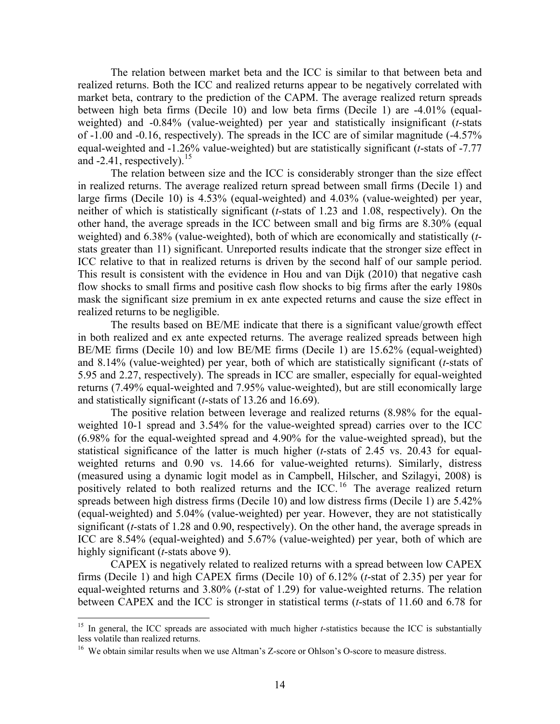<span id="page-14-0"></span>The relation between market beta and the ICC is similar to that between beta and realized returns. Both the ICC and realized returns appear to be negatively correlated with market beta, contrary to the prediction of the CAPM. The average realized return spreads between high beta firms (Decile 10) and low beta firms (Decile 1) are -4.01% (equalweighted) and -0.84% (value-weighted) per year and statistically insignificant (*t*-stats of -1.00 and -0.16, respectively). The spreads in the ICC are of similar magnitude (-4.57% equal-weighted and -1.26% value-weighted) but are statistically significant (*t*-stats of -7.77 and  $-2.41$ , respectively).<sup>[15](#page-14-0)</sup>

The relation between size and the ICC is considerably stronger than the size effect in realized returns. The average realized return spread between small firms (Decile 1) and large firms (Decile 10) is 4.53% (equal-weighted) and 4.03% (value-weighted) per year, neither of which is statistically significant (*t*-stats of 1.23 and 1.08, respectively). On the other hand, the average spreads in the ICC between small and big firms are 8.30% (equal weighted) and 6.38% (value-weighted), both of which are economically and statistically (*t*stats greater than 11) significant. Unreported results indicate that the stronger size effect in ICC relative to that in realized returns is driven by the second half of our sample period. This result is consistent with the evidence in Hou and van Dijk (2010) that negative cash flow shocks to small firms and positive cash flow shocks to big firms after the early 1980s mask the significant size premium in ex ante expected returns and cause the size effect in realized returns to be negligible.

The results based on BE/ME indicate that there is a significant value/growth effect in both realized and ex ante expected returns. The average realized spreads between high BE/ME firms (Decile 10) and low BE/ME firms (Decile 1) are 15.62% (equal-weighted) and 8.14% (value-weighted) per year, both of which are statistically significant (*t*-stats of 5.95 and 2.27, respectively). The spreads in ICC are smaller, especially for equal-weighted returns (7.49% equal-weighted and 7.95% value-weighted), but are still economically large and statistically significant (*t*-stats of 13.26 and 16.69).

The positive relation between leverage and realized returns (8.98% for the equalweighted 10-1 spread and 3.54% for the value-weighted spread) carries over to the ICC (6.98% for the equal-weighted spread and 4.90% for the value-weighted spread), but the statistical significance of the latter is much higher (*t*-stats of 2.45 vs. 20.43 for equalweighted returns and 0.90 vs. 14.66 for value-weighted returns). Similarly, distress (measured using a dynamic logit model as in Campbell, Hilscher, and Szilagyi, 2008) is positively related to both realized returns and the  $\text{ICC.}^{16}$  $\text{ICC.}^{16}$  $\text{ICC.}^{16}$  The average realized return spreads between high distress firms (Decile 10) and low distress firms (Decile 1) are 5.42% (equal-weighted) and 5.04% (value-weighted) per year. However, they are not statistically significant (*t*-stats of 1.28 and 0.90, respectively). On the other hand, the average spreads in ICC are 8.54% (equal-weighted) and 5.67% (value-weighted) per year, both of which are highly significant (*t*-stats above 9).

CAPEX is negatively related to realized returns with a spread between low CAPEX firms (Decile 1) and high CAPEX firms (Decile 10) of 6.12% (*t*-stat of 2.35) per year for equal-weighted returns and 3.80% (*t*-stat of 1.29) for value-weighted returns. The relation between CAPEX and the ICC is stronger in statistical terms (*t*-stats of 11.60 and 6.78 for

<u>.</u>

<sup>&</sup>lt;sup>15</sup> In general, the ICC spreads are associated with much higher *t*-statistics because the ICC is substantially less volatile than realized returns.

<sup>&</sup>lt;sup>16</sup> We obtain similar results when we use Altman's Z-score or Ohlson's O-score to measure distress.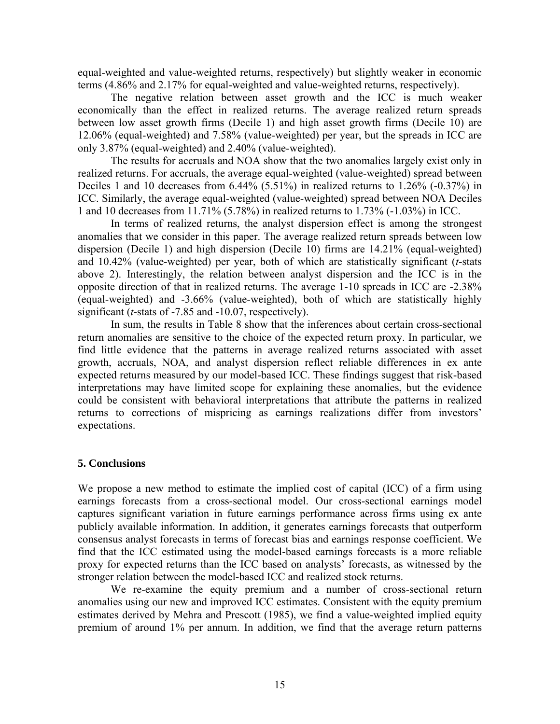equal-weighted and value-weighted returns, respectively) but slightly weaker in economic terms (4.86% and 2.17% for equal-weighted and value-weighted returns, respectively).

The negative relation between asset growth and the ICC is much weaker economically than the effect in realized returns. The average realized return spreads between low asset growth firms (Decile 1) and high asset growth firms (Decile 10) are 12.06% (equal-weighted) and 7.58% (value-weighted) per year, but the spreads in ICC are only 3.87% (equal-weighted) and 2.40% (value-weighted).

The results for accruals and NOA show that the two anomalies largely exist only in realized returns. For accruals, the average equal-weighted (value-weighted) spread between Deciles 1 and 10 decreases from 6.44% (5.51%) in realized returns to 1.26% (-0.37%) in ICC. Similarly, the average equal-weighted (value-weighted) spread between NOA Deciles 1 and 10 decreases from 11.71% (5.78%) in realized returns to 1.73% (-1.03%) in ICC.

In terms of realized returns, the analyst dispersion effect is among the strongest anomalies that we consider in this paper. The average realized return spreads between low dispersion (Decile 1) and high dispersion (Decile 10) firms are 14.21% (equal-weighted) and 10.42% (value-weighted) per year, both of which are statistically significant (*t*-stats above 2). Interestingly, the relation between analyst dispersion and the ICC is in the opposite direction of that in realized returns. The average 1-10 spreads in ICC are -2.38% (equal-weighted) and -3.66% (value-weighted), both of which are statistically highly significant (*t*-stats of -7.85 and -10.07, respectively).

In sum, the results in Table 8 show that the inferences about certain cross-sectional return anomalies are sensitive to the choice of the expected return proxy. In particular, we find little evidence that the patterns in average realized returns associated with asset growth, accruals, NOA, and analyst dispersion reflect reliable differences in ex ante expected returns measured by our model-based ICC. These findings suggest that risk-based interpretations may have limited scope for explaining these anomalies, but the evidence could be consistent with behavioral interpretations that attribute the patterns in realized returns to corrections of mispricing as earnings realizations differ from investors' expectations.

# **5. Conclusions**

We propose a new method to estimate the implied cost of capital (ICC) of a firm using earnings forecasts from a cross-sectional model. Our cross-sectional earnings model captures significant variation in future earnings performance across firms using ex ante publicly available information. In addition, it generates earnings forecasts that outperform consensus analyst forecasts in terms of forecast bias and earnings response coefficient. We find that the ICC estimated using the model-based earnings forecasts is a more reliable proxy for expected returns than the ICC based on analysts' forecasts, as witnessed by the stronger relation between the model-based ICC and realized stock returns.

 We re-examine the equity premium and a number of cross-sectional return anomalies using our new and improved ICC estimates. Consistent with the equity premium estimates derived by Mehra and Prescott (1985), we find a value-weighted implied equity premium of around 1% per annum. In addition, we find that the average return patterns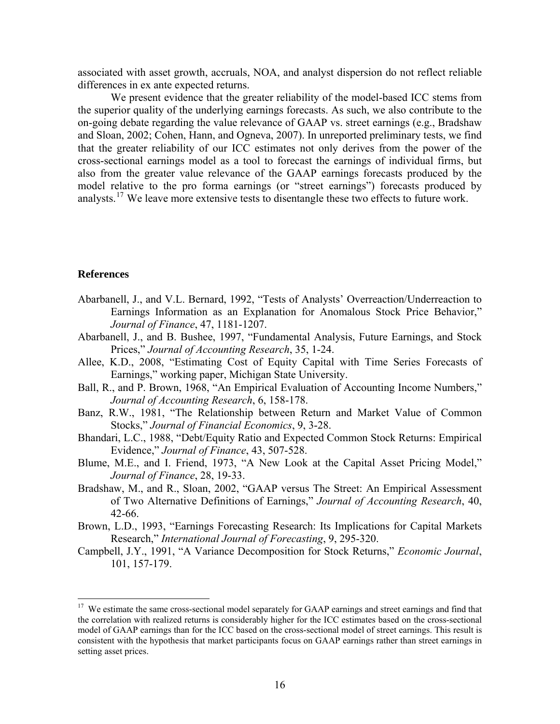<span id="page-16-0"></span>associated with asset growth, accruals, NOA, and analyst dispersion do not reflect reliable differences in ex ante expected returns.

 We present evidence that the greater reliability of the model-based ICC stems from the superior quality of the underlying earnings forecasts. As such, we also contribute to the on-going debate regarding the value relevance of GAAP vs. street earnings (e.g., Bradshaw and Sloan, 2002; Cohen, Hann, and Ogneva, 2007). In unreported preliminary tests, we find that the greater reliability of our ICC estimates not only derives from the power of the cross-sectional earnings model as a tool to forecast the earnings of individual firms, but also from the greater value relevance of the GAAP earnings forecasts produced by the model relative to the pro forma earnings (or "street earnings") forecasts produced by analysts.[17](#page-16-0) We leave more extensive tests to disentangle these two effects to future work.

# **References**

<u>.</u>

- Abarbanell, J., and V.L. Bernard, 1992, "Tests of Analysts' Overreaction/Underreaction to Earnings Information as an Explanation for Anomalous Stock Price Behavior," *Journal of Finance*, 47, 1181-1207.
- Abarbanell, J., and B. Bushee, 1997, "Fundamental Analysis, Future Earnings, and Stock Prices," *Journal of Accounting Research*, 35, 1-24.
- Allee, K.D., 2008, "Estimating Cost of Equity Capital with Time Series Forecasts of Earnings," working paper, Michigan State University.
- Ball, R., and P. Brown, 1968, "An Empirical Evaluation of Accounting Income Numbers," *Journal of Accounting Research*, 6, 158-178.
- Banz, R.W., 1981, "The Relationship between Return and Market Value of Common Stocks," *Journal of Financial Economics*, 9, 3-28.
- Bhandari, L.C., 1988, "Debt/Equity Ratio and Expected Common Stock Returns: Empirical Evidence," *Journal of Finance*, 43, 507-528.
- Blume, M.E., and I. Friend, 1973, "A New Look at the Capital Asset Pricing Model," *Journal of Finance*, 28, 19-33.
- Bradshaw, M., and R., Sloan, 2002, "GAAP versus The Street: An Empirical Assessment of Two Alternative Definitions of Earnings," *Journal of Accounting Research*, 40, 42-66.
- Brown, L.D., 1993, "Earnings Forecasting Research: Its Implications for Capital Markets Research," *International Journal of Forecasting*, 9, 295-320.
- Campbell, J.Y., 1991, "A Variance Decomposition for Stock Returns," *Economic Journal*, 101, 157-179.

<sup>&</sup>lt;sup>17</sup> We estimate the same cross-sectional model separately for GAAP earnings and street earnings and find that the correlation with realized returns is considerably higher for the ICC estimates based on the cross-sectional model of GAAP earnings than for the ICC based on the cross-sectional model of street earnings. This result is consistent with the hypothesis that market participants focus on GAAP earnings rather than street earnings in setting asset prices.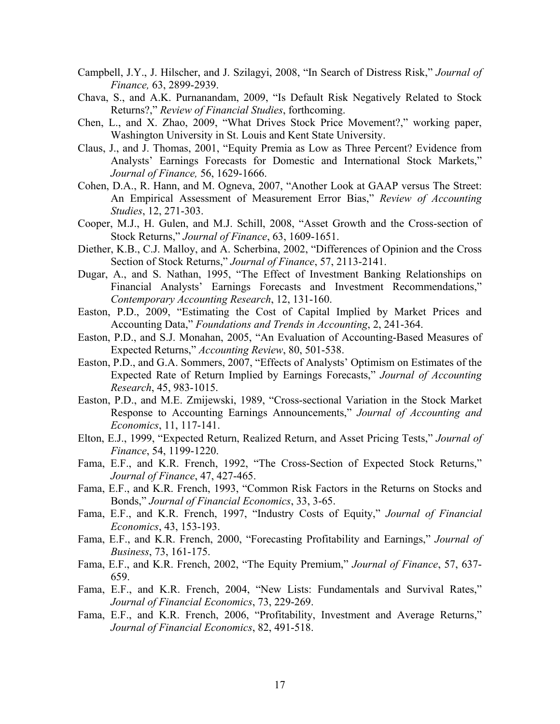- Campbell, J.Y., J. Hilscher, and J. Szilagyi, 2008, "In Search of Distress Risk," *Journal of Finance,* 63, 2899-2939.
- Chava, S., and A.K. Purnanandam, 2009, "Is Default Risk Negatively Related to Stock Returns?," *Review of Financial Studies*, forthcoming.
- Chen, L., and X. Zhao, 2009, "What Drives Stock Price Movement?," working paper, Washington University in St. Louis and Kent State University.
- Claus, J., and J. Thomas, 2001, "Equity Premia as Low as Three Percent? Evidence from Analysts' Earnings Forecasts for Domestic and International Stock Markets," *Journal of Finance,* 56, 1629-1666.
- Cohen, D.A., R. Hann, and M. Ogneva, 2007, "Another Look at GAAP versus The Street: An Empirical Assessment of Measurement Error Bias," *Review of Accounting Studies*, 12, 271-303.
- Cooper, M.J., H. Gulen, and M.J. Schill, 2008, "Asset Growth and the Cross-section of Stock Returns," *Journal of Finance*, 63, 1609-1651.
- Diether, K.B., C.J. Malloy, and A. Scherbina, 2002, "Differences of Opinion and the Cross Section of Stock Returns," *Journal of Finance*, 57, 2113-2141.
- Dugar, A., and S. Nathan, 1995, "The Effect of Investment Banking Relationships on Financial Analysts' Earnings Forecasts and Investment Recommendations," *Contemporary Accounting Research*, 12, 131-160.
- Easton, P.D., 2009, "Estimating the Cost of Capital Implied by Market Prices and Accounting Data," *Foundations and Trends in Accounting*, 2, 241-364.
- Easton, P.D., and S.J. Monahan, 2005, "An Evaluation of Accounting-Based Measures of Expected Returns," *Accounting Review*, 80, 501-538.
- Easton, P.D., and G.A. Sommers, 2007, "Effects of Analysts' Optimism on Estimates of the Expected Rate of Return Implied by Earnings Forecasts," *Journal of Accounting Research*, 45, 983-1015.
- Easton, P.D., and M.E. Zmijewski, 1989, "Cross-sectional Variation in the Stock Market Response to Accounting Earnings Announcements," *Journal of Accounting and Economics*, 11, 117-141.
- Elton, E.J., 1999, "Expected Return, Realized Return, and Asset Pricing Tests," *Journal of Finance*, 54, 1199-1220.
- Fama, E.F., and K.R. French, 1992, "The Cross-Section of Expected Stock Returns," *Journal of Finance*, 47, 427-465.
- Fama, E.F., and K.R. French, 1993, "Common Risk Factors in the Returns on Stocks and Bonds," *Journal of Financial Economics*, 33, 3-65.
- Fama, E.F., and K.R. French, 1997, "Industry Costs of Equity," *Journal of Financial Economics*, 43, 153-193.
- Fama, E.F., and K.R. French, 2000, "Forecasting Profitability and Earnings," *Journal of Business*, 73, 161-175.
- Fama, E.F., and K.R. French, 2002, "The Equity Premium," *Journal of Finance*, 57, 637- 659.
- Fama, E.F., and K.R. French, 2004, "New Lists: Fundamentals and Survival Rates," *Journal of Financial Economics*, 73, 229-269.
- Fama, E.F., and K.R. French, 2006, "Profitability, Investment and Average Returns," *Journal of Financial Economics*, 82, 491-518.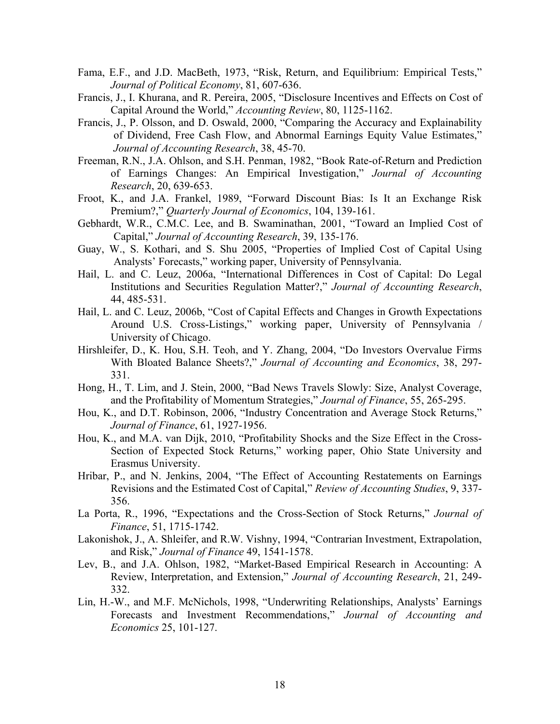- Fama, E.F., and J.D. MacBeth, 1973, "Risk, Return, and Equilibrium: Empirical Tests," *Journal of Political Economy*, 81, 607-636.
- Francis, J., I. Khurana, and R. Pereira, 2005, "Disclosure Incentives and Effects on Cost of Capital Around the World," *Accounting Review*, 80, 1125-1162.
- Francis, J., P. Olsson, and D. Oswald, 2000, "Comparing the Accuracy and Explainability of Dividend, Free Cash Flow, and Abnormal Earnings Equity Value Estimates," *Journal of Accounting Research*, 38, 45-70.
- Freeman, R.N., J.A. Ohlson, and S.H. Penman, 1982, "Book Rate-of-Return and Prediction of Earnings Changes: An Empirical Investigation," *Journal of Accounting Research*, 20, 639-653.
- Froot, K., and J.A. Frankel, 1989, "Forward Discount Bias: Is It an Exchange Risk Premium?," *Quarterly Journal of Economics*, 104, 139-161.
- Gebhardt, W.R., C.M.C. Lee, and B. Swaminathan, 2001, "Toward an Implied Cost of Capital," *Journal of Accounting Research*, 39, 135-176.
- Guay, W., S. Kothari, and S. Shu 2005, "Properties of Implied Cost of Capital Using Analysts' Forecasts," working paper, University of Pennsylvania.
- Hail, L. and C. Leuz, 2006a, "International Differences in Cost of Capital: Do Legal Institutions and Securities Regulation Matter?," *Journal of Accounting Research*, 44, 485-531.
- Hail, L. and C. Leuz, 2006b, "Cost of Capital Effects and Changes in Growth Expectations Around U.S. Cross-Listings," working paper, University of Pennsylvania / University of Chicago.
- Hirshleifer, D., K. Hou, S.H. Teoh, and Y. Zhang, 2004, "Do Investors Overvalue Firms With Bloated Balance Sheets?," *Journal of Accounting and Economics*, 38, 297- 331.
- Hong, H., T. Lim, and J. Stein, 2000, "Bad News Travels Slowly: Size, Analyst Coverage, and the Profitability of Momentum Strategies," *Journal of Finance*, 55, 265-295.
- Hou, K., and D.T. Robinson, 2006, "Industry Concentration and Average Stock Returns," *Journal of Finance*, 61, 1927-1956.
- Hou, K., and M.A. van Dijk, 2010, "Profitability Shocks and the Size Effect in the Cross-Section of Expected Stock Returns," working paper, Ohio State University and Erasmus University.
- Hribar, P., and N. Jenkins, 2004, "The Effect of Accounting Restatements on Earnings Revisions and the Estimated Cost of Capital," *Review of Accounting Studies*, 9, 337- 356.
- La Porta, R., 1996, "Expectations and the Cross-Section of Stock Returns," *Journal of Finance*, 51, 1715-1742.
- Lakonishok, J., A. Shleifer, and R.W. Vishny, 1994, "Contrarian Investment, Extrapolation, and Risk," *Journal of Finance* 49, 1541-1578.
- Lev, B., and J.A. Ohlson, 1982, "Market-Based Empirical Research in Accounting: A Review, Interpretation, and Extension," *Journal of Accounting Research*, 21, 249- 332.
- Lin, H.-W., and M.F. McNichols, 1998, "Underwriting Relationships, Analysts' Earnings Forecasts and Investment Recommendations," *Journal of Accounting and Economics* 25, 101-127.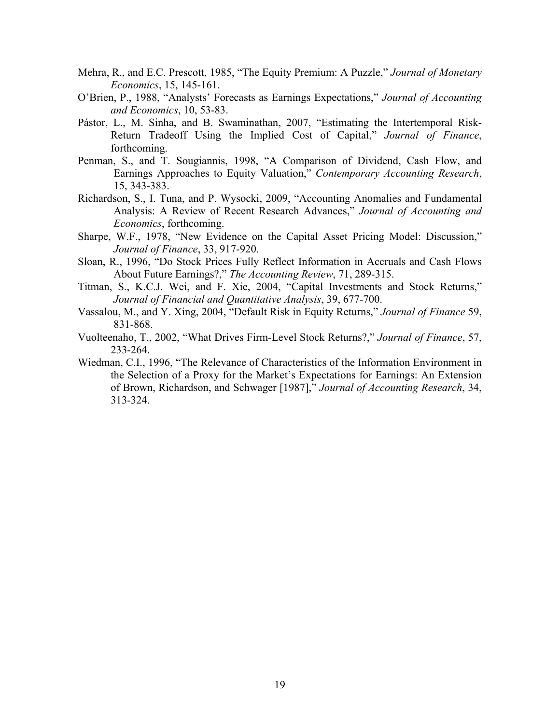- Mehra, R., and E.C. Prescott, 1985, "The Equity Premium: A Puzzle," *Journal of Monetary Economics*, 15, 145-161.
- O'Brien, P., 1988, "Analysts' Forecasts as Earnings Expectations," *Journal of Accounting and Economics*, 10, 53-83.
- Pástor, L., M. Sinha, and B. Swaminathan, 2007, "Estimating the Intertemporal Risk-Return Tradeoff Using the Implied Cost of Capital," *Journal of Finance*, forthcoming.
- Penman, S., and T. Sougiannis, 1998, "A Comparison of Dividend, Cash Flow, and Earnings Approaches to Equity Valuation," *Contemporary Accounting Research*, 15, 343-383.
- Richardson, S., I. Tuna, and P. Wysocki, 2009, "Accounting Anomalies and Fundamental Analysis: A Review of Recent Research Advances," *Journal of Accounting and Economics*, forthcoming.
- Sharpe, W.F., 1978, "New Evidence on the Capital Asset Pricing Model: Discussion," *Journal of Finance*, 33, 917-920.
- Sloan, R., 1996, "Do Stock Prices Fully Reflect Information in Accruals and Cash Flows About Future Earnings?," *The Accounting Review*, 71, 289-315.
- Titman, S., K.C.J. Wei, and F. Xie, 2004, "Capital Investments and Stock Returns," *Journal of Financial and Quantitative Analysis*, 39, 677-700.
- Vassalou, M., and Y. Xing, 2004, "Default Risk in Equity Returns," *Journal of Finance* 59, 831-868.
- Vuolteenaho, T., 2002, "What Drives Firm-Level Stock Returns?," *Journal of Finance*, 57, 233-264.
- Wiedman, C.I., 1996, "The Relevance of Characteristics of the Information Environment in the Selection of a Proxy for the Market's Expectations for Earnings: An Extension of Brown, Richardson, and Schwager [1987]," *Journal of Accounting Research*, 34, 313-324.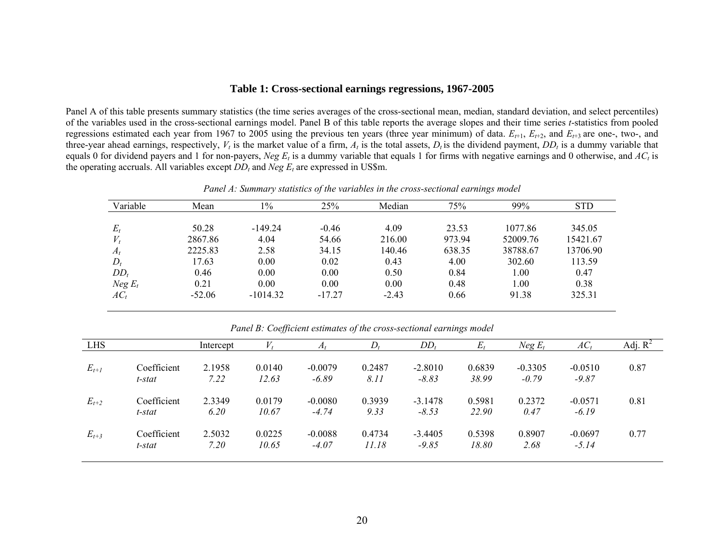# **Table 1: Cross-sectional earnings regressions, 1967-2005**

Panel A of this table presents summary statistics (the time series averages of the cross-sectional mean, median, standard deviation, and select percentiles) of the variables used in the cross-sectional earnings model. Panel B of this table reports the average slopes and their time series *t*-statistics from pooled regressions estimated each year from 1967 to 2005 using the previous ten years (three year minimum) of data.  $E_{t+1}$ ,  $E_{t+2}$ , and  $E_{t+3}$  are one-, two-, and three-year ahead earnings, respectively,  $V_t$  is the market value of a firm,  $A_t$  is the total assets,  $D_t$  is the dividend payment,  $DD_t$  is a dummy variable that equals 0 for dividend payers and 1 for non-payers, *Neg E<sub>t</sub>* is a dummy variable that equals 1 for firms with negative earnings and 0 otherwise, and  $AC<sub>t</sub>$  is the operating accruals. All variables except  $DD_t$  and  $Neg E_t$  are expressed in US\$m.

*Panel A: Summary statistics of the variables in the cross-sectional earnings model* 

| Variable  | Mean     | 1%         | 25%      | Median  | 75%    | 99%      | <b>STD</b> |
|-----------|----------|------------|----------|---------|--------|----------|------------|
|           |          |            |          |         |        |          |            |
| $E_t$     | 50.28    | $-149.24$  | $-0.46$  | 4.09    | 23.53  | 1077.86  | 345.05     |
| $V_t$     | 2867.86  | 4.04       | 54.66    | 216.00  | 973.94 | 52009.76 | 15421.67   |
| $A_t$     | 2225.83  | 2.58       | 34.15    | 140.46  | 638.35 | 38788.67 | 13706.90   |
| $D_t$     | 17.63    | 0.00       | 0.02     | 0.43    | 4.00   | 302.60   | 113.59     |
| $DD_t$    | 0.46     | 0.00       | 0.00     | 0.50    | 0.84   | 1.00     | 0.47       |
| $Neg E_t$ | 0.21     | 0.00       | 0.00     | 0.00    | 0.48   | 1.00     | 0.38       |
| $AC_t$    | $-52.06$ | $-1014.32$ | $-17.27$ | $-2.43$ | 0.66   | 91.38    | 325.31     |

*Panel B: Coefficient estimates of the cross-sectional earnings model* 

| <b>LHS</b> |                       | Intercept      |                 | $H_t$                | D,              | $DD_t$               | $E_t$           | $Neg E_t$            | $AC_t$               | Adj. $R^2$ |
|------------|-----------------------|----------------|-----------------|----------------------|-----------------|----------------------|-----------------|----------------------|----------------------|------------|
| $E_{t+I}$  | Coefficient<br>t-stat | 2.1958<br>7.22 | 0.0140<br>12.63 | $-0.0079$<br>$-6.89$ | 0.2487<br>8.11  | $-2.8010$<br>$-8.83$ | 0.6839<br>38.99 | $-0.3305$<br>$-0.79$ | $-0.0510$<br>$-9.87$ | 0.87       |
| $E_{t+2}$  | Coefficient<br>t-stat | 2.3349<br>6.20 | 0.0179<br>10.67 | $-0.0080$<br>$-4.74$ | 0.3939<br>9.33  | $-3.1478$<br>$-8.53$ | 0.5981<br>22.90 | 0.2372<br>0.47       | $-0.0571$<br>$-6.19$ | 0.81       |
| $E_{t+3}$  | Coefficient<br>t-stat | 2.5032<br>7.20 | 0.0225<br>10.65 | $-0.0088$<br>$-4.07$ | 0.4734<br>11.18 | $-3.4405$<br>$-9.85$ | 0.5398<br>18.80 | 0.8907<br>2.68       | $-0.0697$<br>$-5.14$ | 0.77       |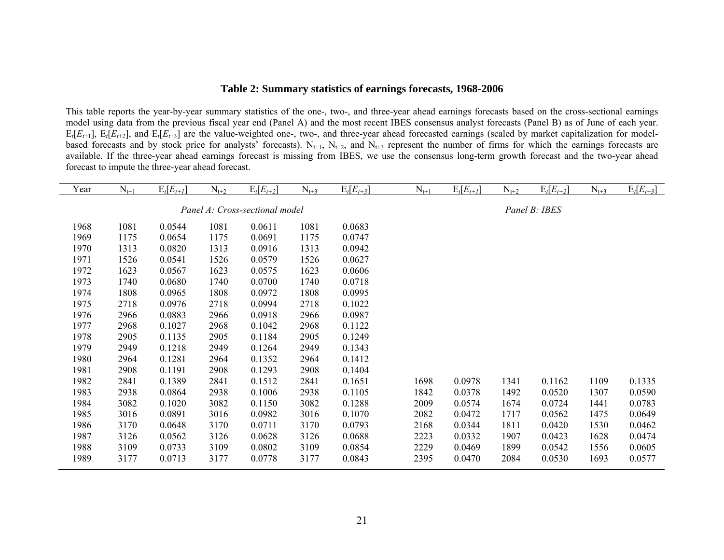# **Table 2: Summary statistics of earnings forecasts, 1968-2006**

This table reports the year-by-year summary statistics of the one-, two-, and three-year ahead earnings forecasts based on the cross-sectional earnings model using data from the previous fiscal year end (Panel A) and the most recent IBES consensus analyst forecasts (Panel B) as of June of each year.  $E_t[E_{t+1}]$ ,  $E_t[E_{t+2}]$ , and  $E_t[E_{t+3}]$  are the value-weighted one-, two-, and three-year ahead forecasted earnings (scaled by market capitalization for modelbased forecasts and by stock price for analysts' forecasts).  $N_{t+1}$ ,  $N_{t+2}$ , and  $N_{t+3}$  represent the number of firms for which the earnings forecasts are available. If the three-year ahead earnings forecast is missing from IBES, we use the consensus long-term growth forecast and the two-year ahead forecast to impute the three-year ahead forecast.

| Year | $N_{t+1}$ | $E_t[E_{t+1}]$ | $N_{t+2}$ | $E_t[E_{t+2}]$                 | $N_{t+3}$ | $E_t[E_{t+3}]$ | $N_{t+1}$ | $E_t[E_{t+1}]$ | $N_{t+2}$ | $E_t[E_{t+2}]$ | $N_{t+3}$ | $E_t[E_{t+3}]$ |
|------|-----------|----------------|-----------|--------------------------------|-----------|----------------|-----------|----------------|-----------|----------------|-----------|----------------|
|      |           |                |           | Panel A: Cross-sectional model |           |                |           |                |           | Panel B: IBES  |           |                |
| 1968 | 1081      | 0.0544         | 1081      | 0.0611                         | 1081      | 0.0683         |           |                |           |                |           |                |
| 1969 | 1175      | 0.0654         | 1175      | 0.0691                         | 1175      | 0.0747         |           |                |           |                |           |                |
| 1970 | 1313      | 0.0820         | 1313      | 0.0916                         | 1313      | 0.0942         |           |                |           |                |           |                |
| 1971 | 1526      | 0.0541         | 1526      | 0.0579                         | 1526      | 0.0627         |           |                |           |                |           |                |
| 1972 | 1623      | 0.0567         | 1623      | 0.0575                         | 1623      | 0.0606         |           |                |           |                |           |                |
| 1973 | 1740      | 0.0680         | 1740      | 0.0700                         | 1740      | 0.0718         |           |                |           |                |           |                |
| 1974 | 1808      | 0.0965         | 1808      | 0.0972                         | 1808      | 0.0995         |           |                |           |                |           |                |
| 1975 | 2718      | 0.0976         | 2718      | 0.0994                         | 2718      | 0.1022         |           |                |           |                |           |                |
| 1976 | 2966      | 0.0883         | 2966      | 0.0918                         | 2966      | 0.0987         |           |                |           |                |           |                |
| 1977 | 2968      | 0.1027         | 2968      | 0.1042                         | 2968      | 0.1122         |           |                |           |                |           |                |
| 1978 | 2905      | 0.1135         | 2905      | 0.1184                         | 2905      | 0.1249         |           |                |           |                |           |                |
| 1979 | 2949      | 0.1218         | 2949      | 0.1264                         | 2949      | 0.1343         |           |                |           |                |           |                |
| 1980 | 2964      | 0.1281         | 2964      | 0.1352                         | 2964      | 0.1412         |           |                |           |                |           |                |
| 1981 | 2908      | 0.1191         | 2908      | 0.1293                         | 2908      | 0.1404         |           |                |           |                |           |                |
| 1982 | 2841      | 0.1389         | 2841      | 0.1512                         | 2841      | 0.1651         | 1698      | 0.0978         | 1341      | 0.1162         | 1109      | 0.1335         |
| 1983 | 2938      | 0.0864         | 2938      | 0.1006                         | 2938      | 0.1105         | 1842      | 0.0378         | 1492      | 0.0520         | 1307      | 0.0590         |
| 1984 | 3082      | 0.1020         | 3082      | 0.1150                         | 3082      | 0.1288         | 2009      | 0.0574         | 1674      | 0.0724         | 1441      | 0.0783         |
| 1985 | 3016      | 0.0891         | 3016      | 0.0982                         | 3016      | 0.1070         | 2082      | 0.0472         | 1717      | 0.0562         | 1475      | 0.0649         |
| 1986 | 3170      | 0.0648         | 3170      | 0.0711                         | 3170      | 0.0793         | 2168      | 0.0344         | 1811      | 0.0420         | 1530      | 0.0462         |
| 1987 | 3126      | 0.0562         | 3126      | 0.0628                         | 3126      | 0.0688         | 2223      | 0.0332         | 1907      | 0.0423         | 1628      | 0.0474         |
| 1988 | 3109      | 0.0733         | 3109      | 0.0802                         | 3109      | 0.0854         | 2229      | 0.0469         | 1899      | 0.0542         | 1556      | 0.0605         |
| 1989 | 3177      | 0.0713         | 3177      | 0.0778                         | 3177      | 0.0843         | 2395      | 0.0470         | 2084      | 0.0530         | 1693      | 0.0577         |
|      |           |                |           |                                |           |                |           |                |           |                |           |                |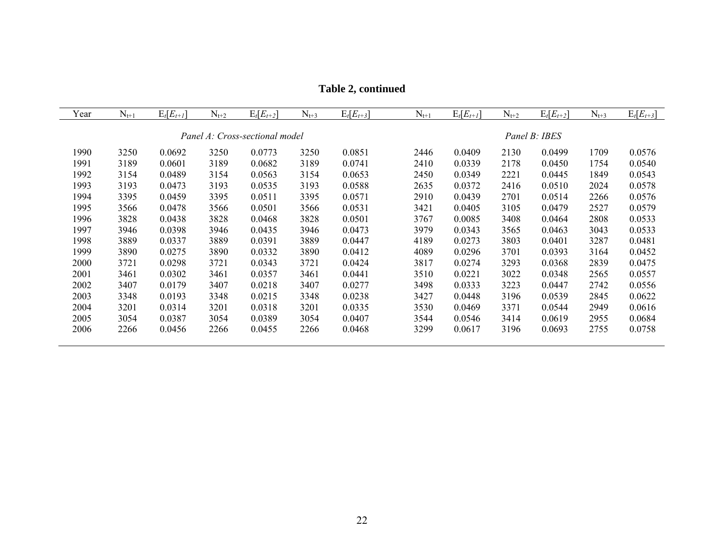| Year | $N_{t+1}$ | $E_t[E_{t+1}]$ | $N_{t+2}$ | $E_t[E_{t+2}]$                 | $N_{t+3}$ | $E_t[E_{t+3}]$ | $N_{t+1}$ | $E_t[E_{t+1}]$ | $N_{t+2}$ | $E_t[E_{t+2}]$ | $N_{t+3}$ | $E_t[E_{t+3}]$ |
|------|-----------|----------------|-----------|--------------------------------|-----------|----------------|-----------|----------------|-----------|----------------|-----------|----------------|
|      |           |                |           | Panel A: Cross-sectional model |           |                |           |                |           | Panel B: IBES  |           |                |
| 1990 | 3250      | 0.0692         | 3250      | 0.0773                         | 3250      | 0.0851         | 2446      | 0.0409         | 2130      | 0.0499         | 1709      | 0.0576         |
| 1991 | 3189      | 0.0601         | 3189      | 0.0682                         | 3189      | 0.0741         | 2410      | 0.0339         | 2178      | 0.0450         | 1754      | 0.0540         |
| 1992 | 3154      | 0.0489         | 3154      | 0.0563                         | 3154      | 0.0653         | 2450      | 0.0349         | 2221      | 0.0445         | 1849      | 0.0543         |
| 1993 | 3193      | 0.0473         | 3193      | 0.0535                         | 3193      | 0.0588         | 2635      | 0.0372         | 2416      | 0.0510         | 2024      | 0.0578         |
| 1994 | 3395      | 0.0459         | 3395      | 0.0511                         | 3395      | 0.0571         | 2910      | 0.0439         | 2701      | 0.0514         | 2266      | 0.0576         |
| 1995 | 3566      | 0.0478         | 3566      | 0.0501                         | 3566      | 0.0531         | 3421      | 0.0405         | 3105      | 0.0479         | 2527      | 0.0579         |
| 1996 | 3828      | 0.0438         | 3828      | 0.0468                         | 3828      | 0.0501         | 3767      | 0.0085         | 3408      | 0.0464         | 2808      | 0.0533         |
| 1997 | 3946      | 0.0398         | 3946      | 0.0435                         | 3946      | 0.0473         | 3979      | 0.0343         | 3565      | 0.0463         | 3043      | 0.0533         |
| 1998 | 3889      | 0.0337         | 3889      | 0.0391                         | 3889      | 0.0447         | 4189      | 0.0273         | 3803      | 0.0401         | 3287      | 0.0481         |
| 1999 | 3890      | 0.0275         | 3890      | 0.0332                         | 3890      | 0.0412         | 4089      | 0.0296         | 3701      | 0.0393         | 3164      | 0.0452         |
| 2000 | 3721      | 0.0298         | 3721      | 0.0343                         | 3721      | 0.0424         | 3817      | 0.0274         | 3293      | 0.0368         | 2839      | 0.0475         |
| 2001 | 3461      | 0.0302         | 3461      | 0.0357                         | 3461      | 0.0441         | 3510      | 0.0221         | 3022      | 0.0348         | 2565      | 0.0557         |
| 2002 | 3407      | 0.0179         | 3407      | 0.0218                         | 3407      | 0.0277         | 3498      | 0.0333         | 3223      | 0.0447         | 2742      | 0.0556         |
| 2003 | 3348      | 0.0193         | 3348      | 0.0215                         | 3348      | 0.0238         | 3427      | 0.0448         | 3196      | 0.0539         | 2845      | 0.0622         |
| 2004 | 3201      | 0.0314         | 3201      | 0.0318                         | 3201      | 0.0335         | 3530      | 0.0469         | 3371      | 0.0544         | 2949      | 0.0616         |
| 2005 | 3054      | 0.0387         | 3054      | 0.0389                         | 3054      | 0.0407         | 3544      | 0.0546         | 3414      | 0.0619         | 2955      | 0.0684         |
| 2006 | 2266      | 0.0456         | 2266      | 0.0455                         | 2266      | 0.0468         | 3299      | 0.0617         | 3196      | 0.0693         | 2755      | 0.0758         |
|      |           |                |           |                                |           |                |           |                |           |                |           |                |

**Table 2, continued**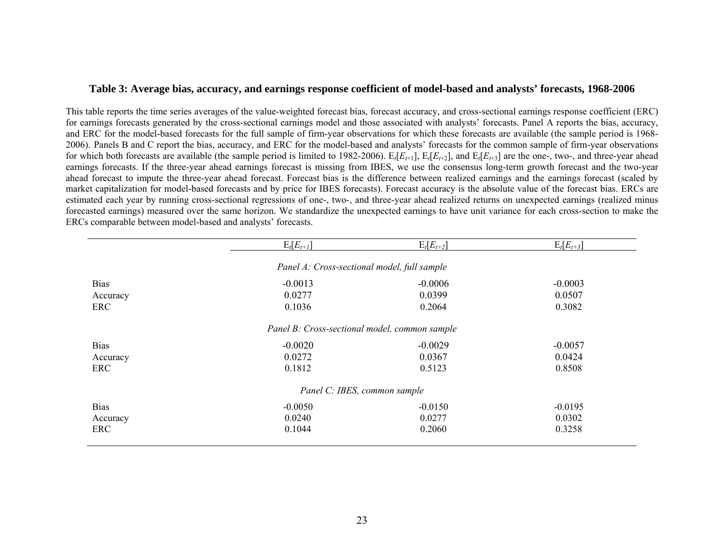### **Table 3: Average bias, accuracy, and earnings response coefficient of model-based and analysts' forecasts, 1968-2006**

This table reports the time series averages of the value-weighted forecast bias, forecast accuracy, and cross-sectional earnings response coefficient (ERC) for earnings forecasts generated by the cross-sectional earnings model and those associated with analysts' forecasts. Panel A reports the bias, accuracy, and ERC for the model-based forecasts for the full sample of firm-year observations for which these forecasts are available (the sample period is 1968- 2006). Panels B and C report the bias, accuracy, and ERC for the model-based and analysts' forecasts for the common sample of firm-year observations for which both forecasts are available (the sample period is limited to 1982-2006).  $E_t[E_{t+1}]$ ,  $E_t[E_{t+2}]$ , and  $E_t[E_{t+3}]$  are the one-, two-, and three-year ahead earnings forecasts. If the three-year ahead earnings forecast is missing from IBES, we use the consensus long-term growth forecast and the two-year ahead forecast to impute the three-year ahead forecast. Forecast bias is the difference between realized earnings and the earnings forecast (scaled by market capitalization for model-based forecasts and by price for IBES forecasts). Forecast accuracy is the absolute value of the forecast bias. ERCs are estimated each year by running cross-sectional regressions of one-, two-, and three-year ahead realized returns on unexpected earnings (realized minus forecasted earnings) measured over the same horizon. We standardize the unexpected earnings to have unit variance for each cross-section to make the ERCs comparable between model-based and analysts' forecasts.

|             | $E_t[E_{t+1}]$                                | $E_t[E_{t+2}]$ | $E_t[E_{t+3}]$ |
|-------------|-----------------------------------------------|----------------|----------------|
|             | Panel A: Cross-sectional model, full sample   |                |                |
| <b>Bias</b> | $-0.0013$                                     | $-0.0006$      | $-0.0003$      |
| Accuracy    | 0.0277                                        | 0.0399         | 0.0507         |
| ERC         | 0.1036                                        | 0.2064         | 0.3082         |
|             | Panel B: Cross-sectional model, common sample |                |                |
| <b>Bias</b> | $-0.0020$                                     | $-0.0029$      | $-0.0057$      |
| Accuracy    | 0.0272                                        | 0.0367         | 0.0424         |
| ERC         | 0.1812                                        | 0.5123         | 0.8508         |
|             | Panel C: IBES, common sample                  |                |                |
| <b>Bias</b> | $-0.0050$                                     | $-0.0150$      | $-0.0195$      |
| Accuracy    | 0.0240                                        | 0.0277         | 0.0302         |
| ERC         | 0.1044                                        | 0.2060         | 0.3258         |
|             |                                               |                |                |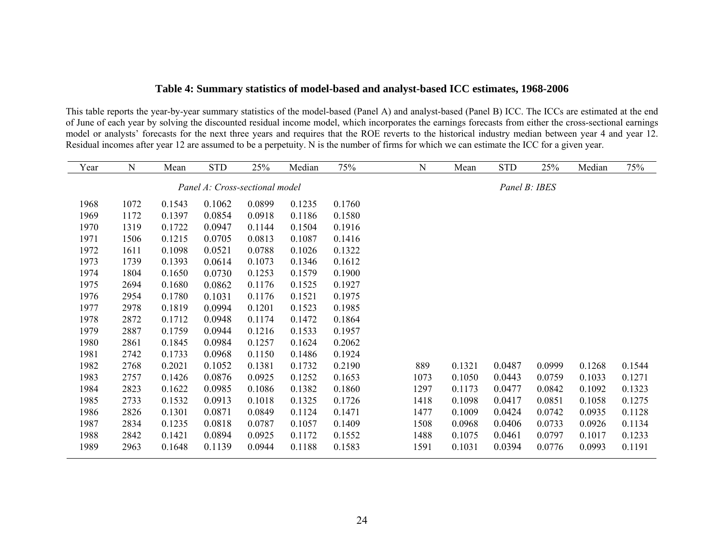# **Table 4: Summary statistics of model-based and analyst-based ICC estimates, 1968-2006**

This table reports the year-by-year summary statistics of the model-based (Panel A) and analyst-based (Panel B) ICC. The ICCs are estimated at the end of June of each year by solving the discounted residual income model, which incorporates the earnings forecasts from either the cross-sectional earnings model or analysts' forecasts for the next three years and requires that the ROE reverts to the historical industry median between year 4 and year 12. Residual incomes after year 12 are assumed to be a perpetuity. N is the number of firms for which we can estimate the ICC for a given year.

| Year | N    | Mean   | <b>STD</b>                     | 25%    | Median | 75%    | $\mathbf N$ | Mean   | <b>STD</b>    | 25%    | Median | 75%    |
|------|------|--------|--------------------------------|--------|--------|--------|-------------|--------|---------------|--------|--------|--------|
|      |      |        | Panel A: Cross-sectional model |        |        |        |             |        |               |        |        |        |
|      |      |        |                                |        |        |        |             |        | Panel B: IBES |        |        |        |
| 1968 | 1072 | 0.1543 | 0.1062                         | 0.0899 | 0.1235 | 0.1760 |             |        |               |        |        |        |
| 1969 | 1172 | 0.1397 | 0.0854                         | 0.0918 | 0.1186 | 0.1580 |             |        |               |        |        |        |
| 1970 | 1319 | 0.1722 | 0.0947                         | 0.1144 | 0.1504 | 0.1916 |             |        |               |        |        |        |
| 1971 | 1506 | 0.1215 | 0.0705                         | 0.0813 | 0.1087 | 0.1416 |             |        |               |        |        |        |
| 1972 | 1611 | 0.1098 | 0.0521                         | 0.0788 | 0.1026 | 0.1322 |             |        |               |        |        |        |
| 1973 | 1739 | 0.1393 | 0.0614                         | 0.1073 | 0.1346 | 0.1612 |             |        |               |        |        |        |
| 1974 | 1804 | 0.1650 | 0.0730                         | 0.1253 | 0.1579 | 0.1900 |             |        |               |        |        |        |
| 1975 | 2694 | 0.1680 | 0.0862                         | 0.1176 | 0.1525 | 0.1927 |             |        |               |        |        |        |
| 1976 | 2954 | 0.1780 | 0.1031                         | 0.1176 | 0.1521 | 0.1975 |             |        |               |        |        |        |
| 1977 | 2978 | 0.1819 | 0.0994                         | 0.1201 | 0.1523 | 0.1985 |             |        |               |        |        |        |
| 1978 | 2872 | 0.1712 | 0.0948                         | 0.1174 | 0.1472 | 0.1864 |             |        |               |        |        |        |
| 1979 | 2887 | 0.1759 | 0.0944                         | 0.1216 | 0.1533 | 0.1957 |             |        |               |        |        |        |
| 1980 | 2861 | 0.1845 | 0.0984                         | 0.1257 | 0.1624 | 0.2062 |             |        |               |        |        |        |
| 1981 | 2742 | 0.1733 | 0.0968                         | 0.1150 | 0.1486 | 0.1924 |             |        |               |        |        |        |
| 1982 | 2768 | 0.2021 | 0.1052                         | 0.1381 | 0.1732 | 0.2190 | 889         | 0.1321 | 0.0487        | 0.0999 | 0.1268 | 0.1544 |
| 1983 | 2757 | 0.1426 | 0.0876                         | 0.0925 | 0.1252 | 0.1653 | 1073        | 0.1050 | 0.0443        | 0.0759 | 0.1033 | 0.1271 |
| 1984 | 2823 | 0.1622 | 0.0985                         | 0.1086 | 0.1382 | 0.1860 | 1297        | 0.1173 | 0.0477        | 0.0842 | 0.1092 | 0.1323 |
| 1985 | 2733 | 0.1532 | 0.0913                         | 0.1018 | 0.1325 | 0.1726 | 1418        | 0.1098 | 0.0417        | 0.0851 | 0.1058 | 0.1275 |
| 1986 | 2826 | 0.1301 | 0.0871                         | 0.0849 | 0.1124 | 0.1471 | 1477        | 0.1009 | 0.0424        | 0.0742 | 0.0935 | 0.1128 |
| 1987 | 2834 | 0.1235 | 0.0818                         | 0.0787 | 0.1057 | 0.1409 | 1508        | 0.0968 | 0.0406        | 0.0733 | 0.0926 | 0.1134 |
| 1988 | 2842 | 0.1421 | 0.0894                         | 0.0925 | 0.1172 | 0.1552 | 1488        | 0.1075 | 0.0461        | 0.0797 | 0.1017 | 0.1233 |
| 1989 | 2963 | 0.1648 | 0.1139                         | 0.0944 | 0.1188 | 0.1583 | 1591        | 0.1031 | 0.0394        | 0.0776 | 0.0993 | 0.1191 |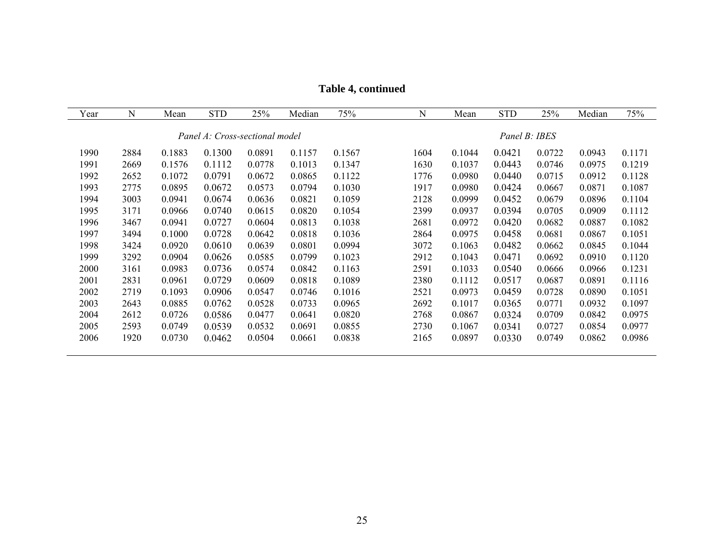| Year | N    | Mean   | <b>STD</b>                     | 25%    | Median | 75%    | $\mathbf N$ | Mean   | <b>STD</b>    | 25%    | Median | 75%    |
|------|------|--------|--------------------------------|--------|--------|--------|-------------|--------|---------------|--------|--------|--------|
|      |      |        |                                |        |        |        |             |        |               |        |        |        |
|      |      |        | Panel A: Cross-sectional model |        |        |        |             |        | Panel B: IBES |        |        |        |
| 1990 | 2884 | 0.1883 | 0.1300                         | 0.0891 | 0.1157 | 0.1567 | 1604        | 0.1044 | 0.0421        | 0.0722 | 0.0943 | 0.1171 |
| 1991 | 2669 | 0.1576 | 0.1112                         | 0.0778 | 0.1013 | 0.1347 | 1630        | 0.1037 | 0.0443        | 0.0746 | 0.0975 | 0.1219 |
| 1992 | 2652 | 0.1072 | 0.0791                         | 0.0672 | 0.0865 | 0.1122 | 1776        | 0.0980 | 0.0440        | 0.0715 | 0.0912 | 0.1128 |
| 1993 | 2775 | 0.0895 | 0.0672                         | 0.0573 | 0.0794 | 0.1030 | 1917        | 0.0980 | 0.0424        | 0.0667 | 0.0871 | 0.1087 |
| 1994 | 3003 | 0.0941 | 0.0674                         | 0.0636 | 0.0821 | 0.1059 | 2128        | 0.0999 | 0.0452        | 0.0679 | 0.0896 | 0.1104 |
| 1995 | 3171 | 0.0966 | 0.0740                         | 0.0615 | 0.0820 | 0.1054 | 2399        | 0.0937 | 0.0394        | 0.0705 | 0.0909 | 0.1112 |
| 1996 | 3467 | 0.0941 | 0.0727                         | 0.0604 | 0.0813 | 0.1038 | 2681        | 0.0972 | 0.0420        | 0.0682 | 0.0887 | 0.1082 |
| 1997 | 3494 | 0.1000 | 0.0728                         | 0.0642 | 0.0818 | 0.1036 | 2864        | 0.0975 | 0.0458        | 0.0681 | 0.0867 | 0.1051 |
| 1998 | 3424 | 0.0920 | 0.0610                         | 0.0639 | 0.0801 | 0.0994 | 3072        | 0.1063 | 0.0482        | 0.0662 | 0.0845 | 0.1044 |
| 1999 | 3292 | 0.0904 | 0.0626                         | 0.0585 | 0.0799 | 0.1023 | 2912        | 0.1043 | 0.0471        | 0.0692 | 0.0910 | 0.1120 |
| 2000 | 3161 | 0.0983 | 0.0736                         | 0.0574 | 0.0842 | 0.1163 | 2591        | 0.1033 | 0.0540        | 0.0666 | 0.0966 | 0.1231 |
| 2001 | 2831 | 0.0961 | 0.0729                         | 0.0609 | 0.0818 | 0.1089 | 2380        | 0.1112 | 0.0517        | 0.0687 | 0.0891 | 0.1116 |
| 2002 | 2719 | 0.1093 | 0.0906                         | 0.0547 | 0.0746 | 0.1016 | 2521        | 0.0973 | 0.0459        | 0.0728 | 0.0890 | 0.1051 |
| 2003 | 2643 | 0.0885 | 0.0762                         | 0.0528 | 0.0733 | 0.0965 | 2692        | 0.1017 | 0.0365        | 0.0771 | 0.0932 | 0.1097 |
| 2004 | 2612 | 0.0726 | 0.0586                         | 0.0477 | 0.0641 | 0.0820 | 2768        | 0.0867 | 0.0324        | 0.0709 | 0.0842 | 0.0975 |
| 2005 | 2593 | 0.0749 | 0.0539                         | 0.0532 | 0.0691 | 0.0855 | 2730        | 0.1067 | 0.0341        | 0.0727 | 0.0854 | 0.0977 |
| 2006 | 1920 | 0.0730 | 0.0462                         | 0.0504 | 0.0661 | 0.0838 | 2165        | 0.0897 | 0.0330        | 0.0749 | 0.0862 | 0.0986 |
|      |      |        |                                |        |        |        |             |        |               |        |        |        |

**Table 4, continued**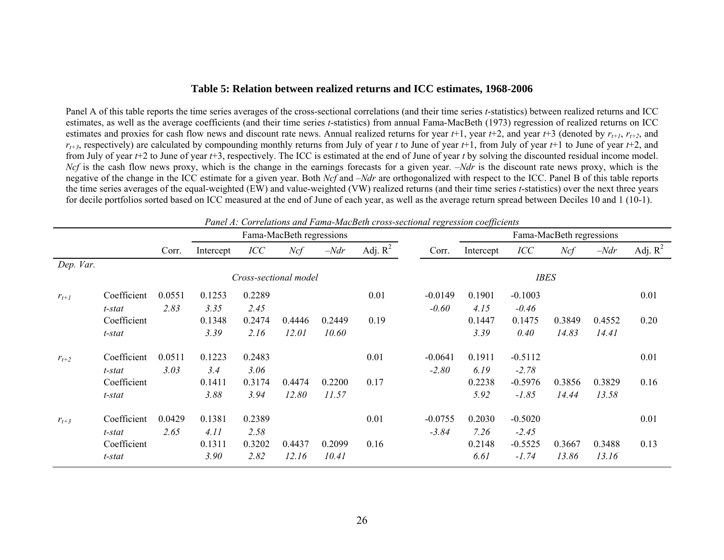#### **Table 5: Relation between realized returns and ICC estimates, 1968-2006**

Panel A of this table reports the time series averages of the cross-sectional correlations (and their time series *t*-statistics) between realized returns and ICC estimates, as well as the average coefficients (and their time series *t*-statistics) from annual Fama-MacBeth (1973) regression of realized returns on ICC estimates and proxies for cash flow news and discount rate news. Annual realized returns for year  $t+1$ , year  $t+2$ , and year  $t+3$  (denoted by  $r_{t+1}$ ,  $r_{t+2}$ , and  $r_{t+3}$ , respectively) are calculated by compounding monthly returns from July of year *t* to June of year *t*+1, from July of year *t*+1 to June of year *t*+2, and from July of year *t*+2 to June of year *t*+3, respectively. The ICC is estimated at the end of June of year *t* by solving the discounted residual income model. *Ncf* is the cash flow news proxy, which is the change in the earnings forecasts for a given year. –*Ndr* is the discount rate news proxy, which is the negative of the change in the ICC estimate for a given year. Both *Ncf* and –*Ndr* are orthogonalized with respect to the ICC. Panel B of this table reports the time series averages of the equal-weighted (EW) and value-weighted (VW) realized returns (and their time series *t*-statistics) over the next three years for decile portfolios sorted based on ICC measured at the end of June of each year, as well as the average return spread between Deciles 10 and 1 (10-1).

|           |             |        |           |                       |                          |        | Panel A: Correlations and Fama-MacBeth cross-sectional regression coefficients |           |           |             |                          |        |            |
|-----------|-------------|--------|-----------|-----------------------|--------------------------|--------|--------------------------------------------------------------------------------|-----------|-----------|-------------|--------------------------|--------|------------|
|           |             |        |           |                       | Fama-MacBeth regressions |        |                                                                                |           |           |             | Fama-MacBeth regressions |        |            |
|           |             | Corr.  | Intercept | ICC                   | Ncf                      | $-Ndr$ | Adj. $R^2$                                                                     | Corr.     | Intercept | ICC         | Ncf                      | $-Ndr$ | Adj. $R^2$ |
| Dep. Var. |             |        |           |                       |                          |        |                                                                                |           |           |             |                          |        |            |
|           |             |        |           | Cross-sectional model |                          |        |                                                                                |           |           | <b>IBES</b> |                          |        |            |
| $r_{t+1}$ | Coefficient | 0.0551 | 0.1253    | 0.2289                |                          |        | 0.01                                                                           | $-0.0149$ | 0.1901    | $-0.1003$   |                          |        | 0.01       |
|           | t-stat      | 2.83   | 3.35      | 2.45                  |                          |        |                                                                                | $-0.60$   | 4.15      | $-0.46$     |                          |        |            |
|           | Coefficient |        | 0.1348    | 0.2474                | 0.4446                   | 0.2449 | 0.19                                                                           |           | 0.1447    | 0.1475      | 0.3849                   | 0.4552 | 0.20       |
|           | t-stat      |        | 3.39      | 2.16                  | 12.01                    | 10.60  |                                                                                |           | 3.39      | 0.40        | 14.83                    | 14.41  |            |
| $r_{t+2}$ | Coefficient | 0.0511 | 0.1223    | 0.2483                |                          |        | 0.01                                                                           | $-0.0641$ | 0.1911    | $-0.5112$   |                          |        | 0.01       |
|           | t-stat      | 3.03   | 3.4       | 3.06                  |                          |        |                                                                                | $-2.80$   | 6.19      | $-2.78$     |                          |        |            |
|           | Coefficient |        | 0.1411    | 0.3174                | 0.4474                   | 0.2200 | 0.17                                                                           |           | 0.2238    | $-0.5976$   | 0.3856                   | 0.3829 | 0.16       |
|           | t-stat      |        | 3.88      | 3.94                  | 12.80                    | 11.57  |                                                                                |           | 5.92      | $-1.85$     | 14.44                    | 13.58  |            |
| $r_{t+3}$ | Coefficient | 0.0429 | 0.1381    | 0.2389                |                          |        | 0.01                                                                           | $-0.0755$ | 0.2030    | $-0.5020$   |                          |        | 0.01       |
|           | t-stat      | 2.65   | 4.11      | 2.58                  |                          |        |                                                                                | $-3.84$   | 7.26      | $-2.45$     |                          |        |            |
|           | Coefficient |        | 0.1311    | 0.3202                | 0.4437                   | 0.2099 | 0.16                                                                           |           | 0.2148    | $-0.5525$   | 0.3667                   | 0.3488 | 0.13       |
|           | t-stat      |        | 3.90      | 2.82                  | 12.16                    | 10.41  |                                                                                |           | 6.61      | $-1.74$     | 13.86                    | 13.16  |            |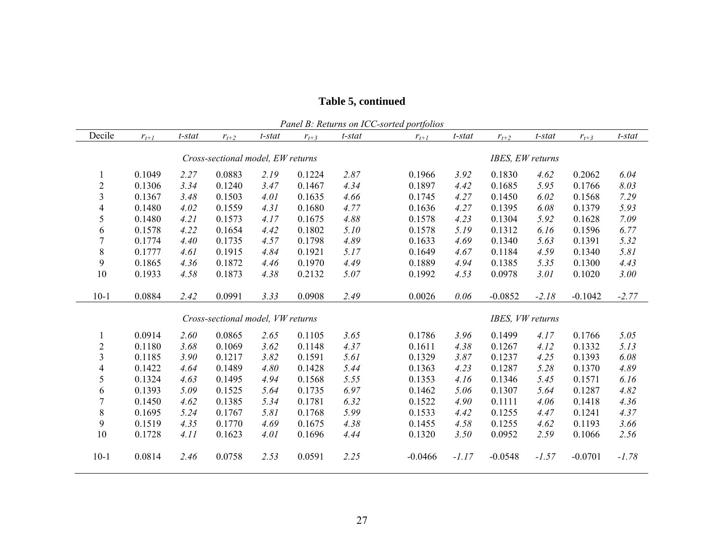|                         | Panel B: Returns on ICC-sorted portfolios |           |                                   |        |           |                  |           |         |                  |         |           |         |
|-------------------------|-------------------------------------------|-----------|-----------------------------------|--------|-----------|------------------|-----------|---------|------------------|---------|-----------|---------|
| Decile                  | $r_{t+1}$                                 | $t$ -stat | $r_{t+2}$                         | t-stat | $r_{t+3}$ | t-stat           | $r_{t+1}$ | t-stat  | $r_{t+2}$        | t-stat  | $r_{t+3}$ | t-stat  |
|                         |                                           |           | Cross-sectional model, EW returns |        |           | IBES, EW returns |           |         |                  |         |           |         |
|                         | 0.1049                                    | 2.27      | 0.0883                            | 2.19   | 0.1224    | 2.87             | 0.1966    | 3.92    | 0.1830           | 4.62    | 0.2062    | 6.04    |
| $\overline{c}$          | 0.1306                                    | 3.34      | 0.1240                            | 3.47   | 0.1467    | 4.34             | 0.1897    | 4.42    | 0.1685           | 5.95    | 0.1766    | 8.03    |
| $\overline{\mathbf{3}}$ | 0.1367                                    | 3.48      | 0.1503                            | 4.01   | 0.1635    | 4.66             | 0.1745    | 4.27    | 0.1450           | 6.02    | 0.1568    | 7.29    |
| $\overline{4}$          | 0.1480                                    | 4.02      | 0.1559                            | 4.31   | 0.1680    | 4.77             | 0.1636    | 4.27    | 0.1395           | 6.08    | 0.1379    | 5.93    |
| 5                       | 0.1480                                    | 4.21      | 0.1573                            | 4.17   | 0.1675    | 4.88             | 0.1578    | 4.23    | 0.1304           | 5.92    | 0.1628    | 7.09    |
| 6                       | 0.1578                                    | 4.22      | 0.1654                            | 4.42   | 0.1802    | 5.10             | 0.1578    | 5.19    | 0.1312           | 6.16    | 0.1596    | 6.77    |
| $\overline{7}$          | 0.1774                                    | 4.40      | 0.1735                            | 4.57   | 0.1798    | 4.89             | 0.1633    | 4.69    | 0.1340           | 5.63    | 0.1391    | 5.32    |
| $8\,$                   | 0.1777                                    | 4.61      | 0.1915                            | 4.84   | 0.1921    | 5.17             | 0.1649    | 4.67    | 0.1184           | 4.59    | 0.1340    | 5.81    |
| 9                       | 0.1865                                    | 4.36      | 0.1872                            | 4.46   | 0.1970    | 4.49             | 0.1889    | 4.94    | 0.1385           | 5.35    | 0.1300    | 4.43    |
| 10                      | 0.1933                                    | 4.58      | 0.1873                            | 4.38   | 0.2132    | 5.07             | 0.1992    | 4.53    | 0.0978           | 3.01    | 0.1020    | 3.00    |
| $10-1$                  | 0.0884                                    | 2.42      | 0.0991                            | 3.33   | 0.0908    | 2.49             | 0.0026    | 0.06    | $-0.0852$        | $-2.18$ | $-0.1042$ | $-2.77$ |
|                         |                                           |           | Cross-sectional model, VW returns |        |           |                  |           |         | IBES, VW returns |         |           |         |
| 1                       | 0.0914                                    | 2.60      | 0.0865                            | 2.65   | 0.1105    | 3.65             | 0.1786    | 3.96    | 0.1499           | 4.17    | 0.1766    | 5.05    |
| $\overline{c}$          | 0.1180                                    | 3.68      | 0.1069                            | 3.62   | 0.1148    | 4.37             | 0.1611    | 4.38    | 0.1267           | 4.12    | 0.1332    | 5.13    |
| 3                       | 0.1185                                    | 3.90      | 0.1217                            | 3.82   | 0.1591    | 5.61             | 0.1329    | 3.87    | 0.1237           | 4.25    | 0.1393    | 6.08    |
| $\overline{4}$          | 0.1422                                    | 4.64      | 0.1489                            | 4.80   | 0.1428    | 5.44             | 0.1363    | 4.23    | 0.1287           | 5.28    | 0.1370    | 4.89    |
| 5                       | 0.1324                                    | 4.63      | 0.1495                            | 4.94   | 0.1568    | 5.55             | 0.1353    | 4.16    | 0.1346           | 5.45    | 0.1571    | 6.16    |
| 6                       | 0.1393                                    | 5.09      | 0.1525                            | 5.64   | 0.1735    | 6.97             | 0.1462    | 5.06    | 0.1307           | 5.64    | 0.1287    | 4.82    |
| $\overline{7}$          | 0.1450                                    | 4.62      | 0.1385                            | 5.34   | 0.1781    | 6.32             | 0.1522    | 4.90    | 0.1111           | 4.06    | 0.1418    | 4.36    |
| 8                       | 0.1695                                    | 5.24      | 0.1767                            | 5.81   | 0.1768    | 5.99             | 0.1533    | 4.42    | 0.1255           | 4.47    | 0.1241    | 4.37    |
| 9                       | 0.1519                                    | 4.35      | 0.1770                            | 4.69   | 0.1675    | 4.38             | 0.1455    | 4.58    | 0.1255           | 4.62    | 0.1193    | 3.66    |
| 10                      | 0.1728                                    | 4.11      | 0.1623                            | 4.01   | 0.1696    | 4.44             | 0.1320    | 3.50    | 0.0952           | 2.59    | 0.1066    | 2.56    |
| $10-1$                  | 0.0814                                    | 2.46      | 0.0758                            | 2.53   | 0.0591    | 2.25             | $-0.0466$ | $-1.17$ | $-0.0548$        | $-1.57$ | $-0.0701$ | $-1.78$ |

# **Table 5, continued**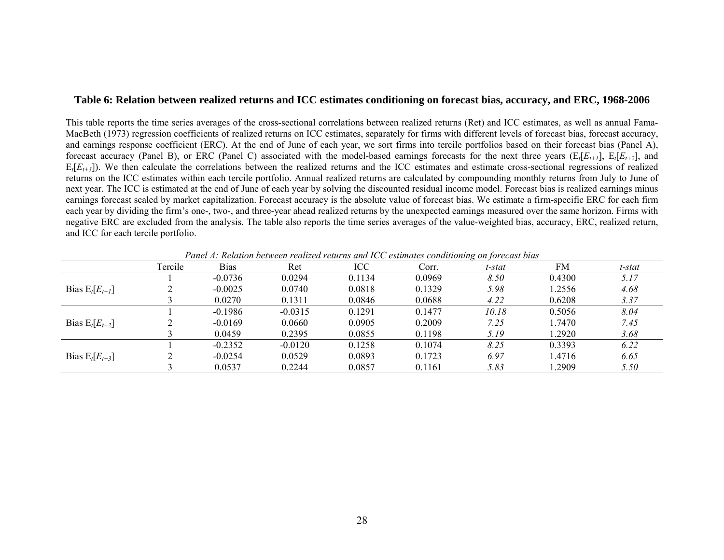#### **Table 6: Relation between realized returns and ICC estimates conditioning on forecast bias, accuracy, and ERC, 1968-2006**

This table reports the time series averages of the cross-sectional correlations between realized returns (Ret) and ICC estimates, as well as annual Fama-MacBeth (1973) regression coefficients of realized returns on ICC estimates, separately for firms with different levels of forecast bias, forecast accuracy, and earnings response coefficient (ERC). At the end of June of each year, we sort firms into tercile portfolios based on their forecast bias (Panel A), forecast accuracy (Panel B), or ERC (Panel C) associated with the model-based earnings forecasts for the next three years ( $E_I[E_{t+1}]$ ,  $E_I[E_{t+2}]$ , and  $E_t[E_{t+3}]$ ). We then calculate the correlations between the realized returns and the ICC estimates and estimate cross-sectional regressions of realized returns on the ICC estimates within each tercile portfolio. Annual realized returns are calculated by compounding monthly returns from July to June of next year. The ICC is estimated at the end of June of each year by solving the discounted residual income model. Forecast bias is realized earnings minus earnings forecast scaled by market capitalization. Forecast accuracy is the absolute value of forecast bias. We estimate a firm-specific ERC for each firm each year by dividing the firm's one-, two-, and three-year ahead realized returns by the unexpected earnings measured over the same horizon. Firms with negative ERC are excluded from the analysis. The table also reports the time series averages of the value-weighted bias, accuracy, ERC, realized return, and ICC for each tercile portfolio.

|                     | Tercile | <b>Bias</b> | Ret       | ICC    | Corr.  | t-stat | FM     | t-stat |
|---------------------|---------|-------------|-----------|--------|--------|--------|--------|--------|
|                     |         | $-0.0736$   | 0.0294    | 0.1134 | 0.0969 | 8.50   | 0.4300 | 5.17   |
| Bias $E_t[E_{t+1}]$ |         | $-0.0025$   | 0.0740    | 0.0818 | 0.1329 | 5.98   | 1.2556 | 4.68   |
|                     |         | 0.0270      | 0.1311    | 0.0846 | 0.0688 | 4.22   | 0.6208 | 3.37   |
|                     |         | $-0.1986$   | $-0.0315$ | 0.1291 | 0.1477 | 10.18  | 0.5056 | 8.04   |
| Bias $E_t[E_{t+2}]$ |         | $-0.0169$   | 0.0660    | 0.0905 | 0.2009 | 7.25   | 1.7470 | 7.45   |
|                     |         | 0.0459      | 0.2395    | 0.0855 | 0.1198 | 5.19   | 1.2920 | 3.68   |
|                     |         | $-0.2352$   | $-0.0120$ | 0.1258 | 0.1074 | 8.25   | 0.3393 | 6.22   |
| Bias $E_t[E_{t+3}]$ |         | $-0.0254$   | 0.0529    | 0.0893 | 0.1723 | 6.97   | 1.4716 | 6.65   |
|                     |         | 0.0537      | 0.2244    | 0.0857 | 0.1161 | 5.83   | .2909  | 5.50   |

*Panel A: Relation between realized returns and ICC estimates conditioning on forecast bias*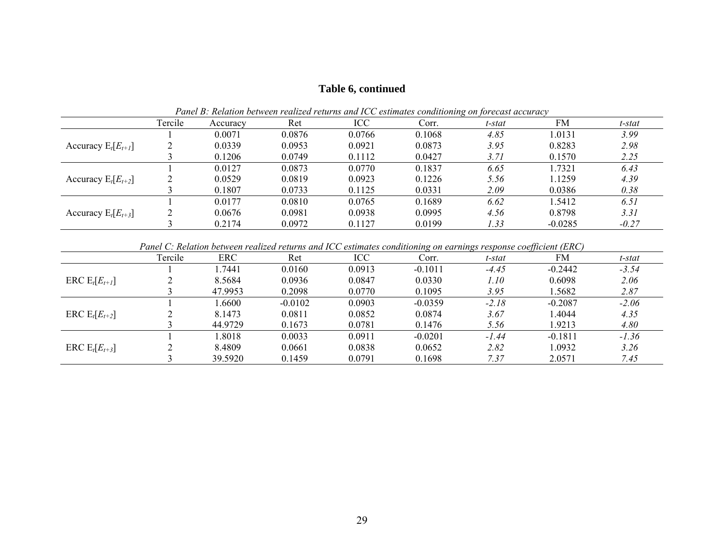# **Table 6, continued**

|                         | Tercile | Accuracy | Ret    | ICC    | T ance D. Technical occurrent realized retains and TCC estimates comationing on forecast accuracy<br>Corr. | t-stat | FM        | t-stat  |
|-------------------------|---------|----------|--------|--------|------------------------------------------------------------------------------------------------------------|--------|-----------|---------|
|                         |         | 0.0071   | 0.0876 | 0.0766 | 0.1068                                                                                                     | 4.85   | 1.0131    | 3.99    |
| Accuracy $E_t[E_{t+1}]$ |         | 0.0339   | 0.0953 | 0.0921 | 0.0873                                                                                                     | 3.95   | 0.8283    | 2.98    |
|                         |         | 0.1206   | 0.0749 | 0.1112 | 0.0427                                                                                                     | 3.71   | 0.1570    | 2.25    |
|                         |         | 0.0127   | 0.0873 | 0.0770 | 0.1837                                                                                                     | 6.65   | 1.7321    | 6.43    |
| Accuracy $E_t[E_{t+2}]$ |         | 0.0529   | 0.0819 | 0.0923 | 0.1226                                                                                                     | 5.56   | 1.1259    | 4.39    |
|                         |         | 0.1807   | 0.0733 | 0.1125 | 0.0331                                                                                                     | 2.09   | 0.0386    | 0.38    |
|                         |         | 0.0177   | 0.0810 | 0.0765 | 0.1689                                                                                                     | 6.62   | 1.5412    | 6.51    |
| Accuracy $E_t[E_{t+3}]$ |         | 0.0676   | 0.0981 | 0.0938 | 0.0995                                                                                                     | 4.56   | 0.8798    | 3.31    |
|                         |         | 0.2174   | 0.0972 | 0.1127 | 0.0199                                                                                                     | 1.33   | $-0.0285$ | $-0.27$ |

*Panel B: Relation between realized returns and ICC estimates conditioning on forecast accuracy* 

| Panel C: Relation between realized returns and ICC estimates conditioning on earnings response coefficient (ERC) |  |  |
|------------------------------------------------------------------------------------------------------------------|--|--|
|                                                                                                                  |  |  |

|                    | Tercile | ERC     | Ret       | ICC    | Corr.     | t-stat  | FM        | t-stat  |
|--------------------|---------|---------|-----------|--------|-----------|---------|-----------|---------|
|                    |         | l.7441  | 0.0160    | 0.0913 | $-0.1011$ | $-4.45$ | $-0.2442$ | $-3.54$ |
| ERC $E_t[E_{t+1}]$ |         | 8.5684  | 0.0936    | 0.0847 | 0.0330    | 1.10    | 0.6098    | 2.06    |
|                    |         | 47.9953 | 0.2098    | 0.0770 | 0.1095    | 3.95    | 1.5682    | 2.87    |
|                    |         | 1.6600  | $-0.0102$ | 0.0903 | $-0.0359$ | $-2.18$ | $-0.2087$ | $-2.06$ |
| ERC $E_t[E_{t+2}]$ |         | 8.1473  | 0.0811    | 0.0852 | 0.0874    | 3.67    | 1.4044    | 4.35    |
|                    |         | 44.9729 | 0.1673    | 0.0781 | 0.1476    | 5.56    | 1.9213    | 4.80    |
|                    |         | 1.8018  | 0.0033    | 0.0911 | $-0.0201$ | $-1.44$ | $-0.1811$ | $-1.36$ |
| ERC $E_t[E_{t+3}]$ |         | 8.4809  | 0.0661    | 0.0838 | 0.0652    | 2.82    | 1.0932    | 3.26    |
|                    |         | 39.5920 | 0.1459    | 0.0791 | 0.1698    | 7.37    | 2.0571    | 7.45    |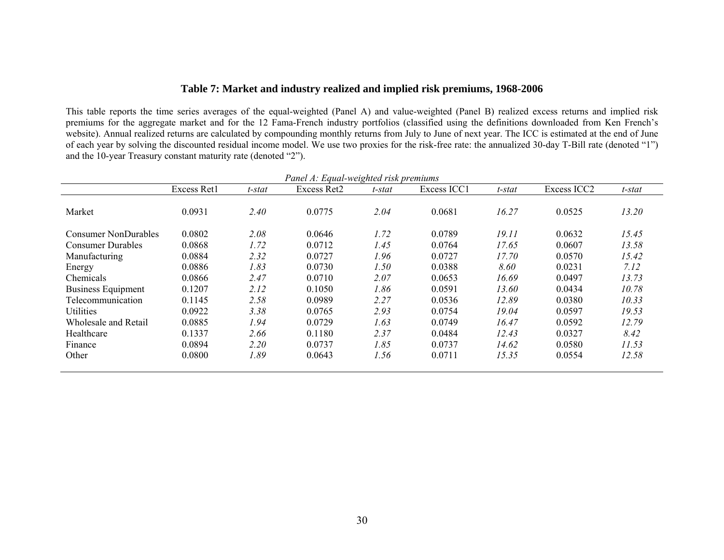# **Table 7: Market and industry realized and implied risk premiums, 1968-2006**

This table reports the time series averages of the equal-weighted (Panel A) and value-weighted (Panel B) realized excess returns and implied risk premiums for the aggregate market and for the 12 Fama-French industry portfolios (classified using the definitions downloaded from Ken French's website). Annual realized returns are calculated by compounding monthly returns from July to June of next year. The ICC is estimated at the end of June of each year by solving the discounted residual income model. We use two proxies for the risk-free rate: the annualized 30-day T-Bill rate (denoted "1") and the 10-year Treasury constant maturity rate (denoted "2").

|                           |             |        | Panel A: Equal-weighted risk premiums |        |             |        |             |        |
|---------------------------|-------------|--------|---------------------------------------|--------|-------------|--------|-------------|--------|
|                           | Excess Ret1 | t-stat | Excess Ret2                           | t-stat | Excess ICC1 | t-stat | Excess ICC2 | t-stat |
| Market                    | 0.0931      | 2.40   | 0.0775                                | 2.04   | 0.0681      | 16.27  | 0.0525      | 13.20  |
| Consumer NonDurables      | 0.0802      | 2.08   | 0.0646                                | 1.72   | 0.0789      | 19.11  | 0.0632      | 15.45  |
| <b>Consumer Durables</b>  | 0.0868      | 1.72   | 0.0712                                | 1.45   | 0.0764      | 17.65  | 0.0607      | 13.58  |
| Manufacturing             | 0.0884      | 2.32   | 0.0727                                | 1.96   | 0.0727      | 17.70  | 0.0570      | 15.42  |
| Energy                    | 0.0886      | 1.83   | 0.0730                                | 1.50   | 0.0388      | 8.60   | 0.0231      | 7.12   |
| Chemicals                 | 0.0866      | 2.47   | 0.0710                                | 2.07   | 0.0653      | 16.69  | 0.0497      | 13.73  |
| <b>Business Equipment</b> | 0.1207      | 2.12   | 0.1050                                | 1.86   | 0.0591      | 13.60  | 0.0434      | 10.78  |
| Telecommunication         | 0.1145      | 2.58   | 0.0989                                | 2.27   | 0.0536      | 12.89  | 0.0380      | 10.33  |
| <b>Utilities</b>          | 0.0922      | 3.38   | 0.0765                                | 2.93   | 0.0754      | 19.04  | 0.0597      | 19.53  |
| Wholesale and Retail      | 0.0885      | 1.94   | 0.0729                                | 1.63   | 0.0749      | 16.47  | 0.0592      | 12.79  |
| Healthcare                | 0.1337      | 2.66   | 0.1180                                | 2.37   | 0.0484      | 12.43  | 0.0327      | 8.42   |
| Finance                   | 0.0894      | 2.20   | 0.0737                                | 1.85   | 0.0737      | 14.62  | 0.0580      | 11.53  |
| Other                     | 0.0800      | 1.89   | 0.0643                                | 1.56   | 0.0711      | 15.35  | 0.0554      | 12.58  |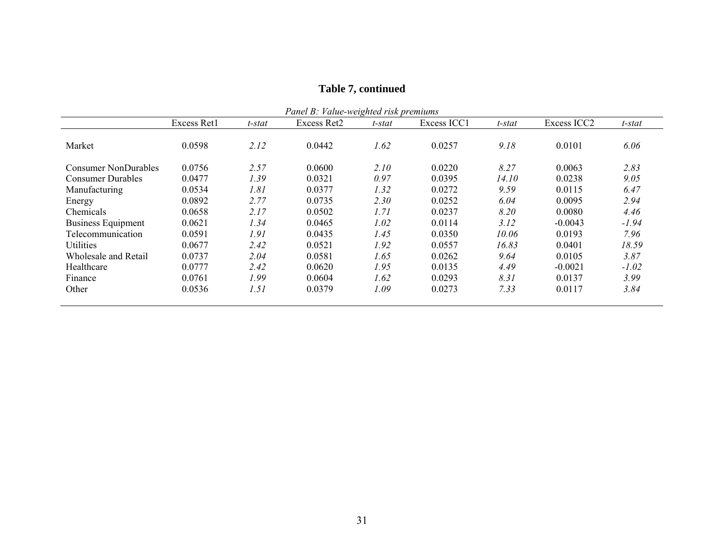| Panel B: Value-weighted risk premiums<br>Excess ICC2<br>Excess Ret1<br>Excess Ret2<br>Excess ICC1<br>t-stat<br>t-stat<br>t-stat<br>t-stat |        |      |        |      |        |       |           |         |  |  |  |  |
|-------------------------------------------------------------------------------------------------------------------------------------------|--------|------|--------|------|--------|-------|-----------|---------|--|--|--|--|
|                                                                                                                                           |        |      |        |      |        |       |           |         |  |  |  |  |
| Market                                                                                                                                    | 0.0598 | 2.12 | 0.0442 | 1.62 | 0.0257 | 9.18  | 0.0101    | 6.06    |  |  |  |  |
| Consumer NonDurables                                                                                                                      | 0.0756 | 2.57 | 0.0600 | 2.10 | 0.0220 | 8.27  | 0.0063    | 2.83    |  |  |  |  |
| <b>Consumer Durables</b>                                                                                                                  | 0.0477 | 1.39 | 0.0321 | 0.97 | 0.0395 | 14.10 | 0.0238    | 9.05    |  |  |  |  |
| Manufacturing                                                                                                                             | 0.0534 | 1.81 | 0.0377 | 1.32 | 0.0272 | 9.59  | 0.0115    | 6.47    |  |  |  |  |
| Energy                                                                                                                                    | 0.0892 | 2.77 | 0.0735 | 2.30 | 0.0252 | 6.04  | 0.0095    | 2.94    |  |  |  |  |
| Chemicals                                                                                                                                 | 0.0658 | 2.17 | 0.0502 | 1.71 | 0.0237 | 8.20  | 0.0080    | 4.46    |  |  |  |  |
| <b>Business Equipment</b>                                                                                                                 | 0.0621 | 1.34 | 0.0465 | 1.02 | 0.0114 | 3.12  | $-0.0043$ | $-1.94$ |  |  |  |  |
| Telecommunication                                                                                                                         | 0.0591 | 1.91 | 0.0435 | 1.45 | 0.0350 | 10.06 | 0.0193    | 7.96    |  |  |  |  |
| Utilities                                                                                                                                 | 0.0677 | 2.42 | 0.0521 | 1.92 | 0.0557 | 16.83 | 0.0401    | 18.59   |  |  |  |  |
| Wholesale and Retail                                                                                                                      | 0.0737 | 2.04 | 0.0581 | 1.65 | 0.0262 | 9.64  | 0.0105    | 3.87    |  |  |  |  |
| Healthcare                                                                                                                                | 0.0777 | 2.42 | 0.0620 | 1.95 | 0.0135 | 4.49  | $-0.0021$ | $-1.02$ |  |  |  |  |
| Finance                                                                                                                                   | 0.0761 | 1.99 | 0.0604 | 1.62 | 0.0293 | 8.31  | 0.0137    | 3.99    |  |  |  |  |
| Other                                                                                                                                     | 0.0536 | 1.51 | 0.0379 | 1.09 | 0.0273 | 7.33  | 0.0117    | 3.84    |  |  |  |  |

# **Table 7, continued**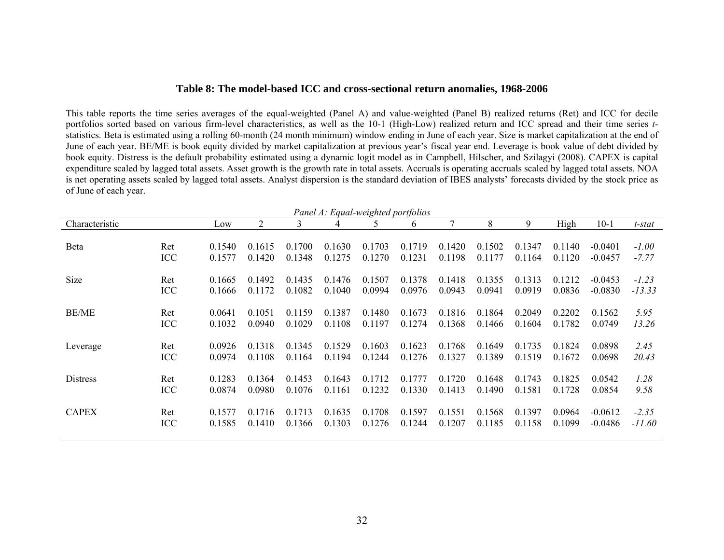#### **Table 8: The model-based ICC and cross-sectional return anomalies, 1968-2006**

This table reports the time series averages of the equal-weighted (Panel A) and value-weighted (Panel B) realized returns (Ret) and ICC for decile portfolios sorted based on various firm-level characteristics, as well as the 10-1 (High-Low) realized return and ICC spread and their time series *<sup>t</sup>*statistics. Beta is estimated using a rolling 60-month (24 month minimum) window ending in June of each year. Size is market capitalization at the end of June of each year. BE/ME is book equity divided by market capitalization at previous year's fiscal year end. Leverage is book value of debt divided by book equity. Distress is the default probability estimated using a dynamic logit model as in Campbell, Hilscher, and Szilagyi (2008). CAPEX is capital expenditure scaled by lagged total assets. Asset growth is the growth rate in total assets. Accruals is operating accruals scaled by lagged total assets. NOA is net operating assets scaled by lagged total assets. Analyst dispersion is the standard deviation of IBES analysts' forecasts divided by the stock price as of June of each year.

|                |     |        |        |        | Panel A: Equal-weighted portfolios |        |        |        |        |        |        |           |          |
|----------------|-----|--------|--------|--------|------------------------------------|--------|--------|--------|--------|--------|--------|-----------|----------|
| Characteristic |     | Low    | 2      | 3      | 4                                  |        | 6      | 7      | 8      | 9      | High   | $10-1$    | t-stat   |
| Beta           | Ret | 0.1540 | 0.1615 | 0.1700 | 0.1630                             | 0.1703 | 0.1719 | 0.1420 | 0.1502 | 0.1347 | 0.1140 | $-0.0401$ | $-1.00$  |
|                | ICC | 0.1577 | 0.1420 | 0.1348 | 0.1275                             | 0.1270 | 0.1231 | 0.1198 | 0.1177 | 0.1164 | 0.1120 | $-0.0457$ | $-7.77$  |
| <b>Size</b>    | Ret | 0.1665 | 0.1492 | 0.1435 | 0.1476                             | 0.1507 | 0.1378 | 0.1418 | 0.1355 | 0.1313 | 0.1212 | $-0.0453$ | $-1.23$  |
|                | ICC | 0.1666 | 0.1172 | 0.1082 | 0.1040                             | 0.0994 | 0.0976 | 0.0943 | 0.0941 | 0.0919 | 0.0836 | $-0.0830$ | $-13.33$ |
| <b>BE/ME</b>   | Ret | 0.0641 | 0.1051 | 0.1159 | 0.1387                             | 0.1480 | 0.1673 | 0.1816 | 0.1864 | 0.2049 | 0.2202 | 0.1562    | 5.95     |
|                | ICC | 0.1032 | 0.0940 | 0.1029 | 0.1108                             | 0.1197 | 0.1274 | 0.1368 | 0.1466 | 0.1604 | 0.1782 | 0.0749    | 13.26    |
| Leverage       | Ret | 0.0926 | 0.1318 | 0.1345 | 0.1529                             | 0.1603 | 0.1623 | 0.1768 | 0.1649 | 0.1735 | 0.1824 | 0.0898    | 2.45     |
|                | ICC | 0.0974 | 0.1108 | 0.1164 | 0.1194                             | 0.1244 | 0.1276 | 0.1327 | 0.1389 | 0.1519 | 0.1672 | 0.0698    | 20.43    |
| Distress       | Ret | 0.1283 | 0.1364 | 0.1453 | 0.1643                             | 0.1712 | 0.1777 | 0.1720 | 0.1648 | 0.1743 | 0.1825 | 0.0542    | 1.28     |
|                | ICC | 0.0874 | 0.0980 | 0.1076 | 0.1161                             | 0.1232 | 0.1330 | 0.1413 | 0.1490 | 0.1581 | 0.1728 | 0.0854    | 9.58     |
| <b>CAPEX</b>   | Ret | 0.1577 | 0.1716 | 0.1713 | 0.1635                             | 0.1708 | 0.1597 | 0.1551 | 0.1568 | 0.1397 | 0.0964 | $-0.0612$ | $-2.35$  |
|                | ICC | 0.1585 | 0.1410 | 0.1366 | 0.1303                             | 0.1276 | 0.1244 | 0.1207 | 0.1185 | 0.1158 | 0.1099 | $-0.0486$ | $-11.60$ |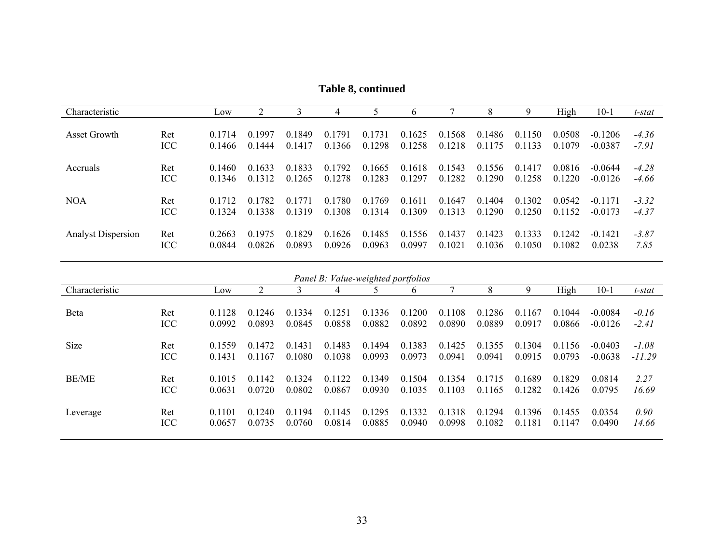**Table 8, continued** 

| Characteristic            |            | Low                 | 2                               |                     |                                       |                     | b                |                  | 8                           | 9                                                | High                | $10-1$                 | t-stat             |
|---------------------------|------------|---------------------|---------------------------------|---------------------|---------------------------------------|---------------------|------------------|------------------|-----------------------------|--------------------------------------------------|---------------------|------------------------|--------------------|
| Asset Growth              | Ret<br>ICC | 0.1714<br>0.1466    | 0.1997<br>0 1444                | 0.1849<br>0.1417    | 0.1791<br>0.1366                      | 0.1731<br>0.1298    | 0.1625<br>0.1258 | 0.1568<br>0.1218 | 0.1486<br>175<br>$\Omega$ 1 | 150<br>0 <sub>1</sub><br>133<br>$\overline{0}$ 1 | 0.0508<br>0.1079    | $-0.1206$<br>$-0.0387$ | $-4.36$<br>$-7.91$ |
| <b>Accruals</b>           | Ret<br>ICC | 0.1460<br>0 1 3 4 6 | 0.1633<br>0.1312                | 0.1833<br>0 1 2 6 5 | 0.1792<br>0 1 2 7 8                   | 0.1665<br>0.1283    | 0.1618<br>0.1297 | 0.1543<br>0.1282 | 0.1556<br>0.1290            | 0.1417<br>0.1258                                 | 0.0816<br>0 1 2 2 0 | $-0.0644$<br>$-0.0126$ | $-4.28$<br>$-4.66$ |
| <b>NOA</b>                | Ret<br>ICC | 0.1712<br>0 1 3 2 4 | 782<br>0 <sub>1</sub><br>0.1338 | 0.1771<br>0.1319    | 780<br>$($ ) $\overline{)}$<br>0.1308 | 0.1769<br>0 1 3 1 4 | 0.1611<br>0.1309 | 0.1647<br>0.1313 | 0.1404<br>0.1290            | 0.1302<br>0.1250                                 | 0.0542<br>0.1152    | $-0.1171$<br>$-0.0173$ | $-3.32$<br>$-4.37$ |
| <b>Analyst Dispersion</b> | Ret<br>ICC | 0.2663<br>0.0844    | 0.1975<br>0.0826                | 0.1829<br>0.0893    | 0.1626<br>0.0926                      | 0.1485<br>0.0963    | 0.1556<br>0.0997 | 0.1437<br>0.1021 | 0.1423<br>0.1036            | 0.1333<br>0.1050                                 | 0.1242<br>0.1082    | $-0.1421$<br>0.0238    | $-3.87$<br>7.85    |

|                |     |        |        |                       | Panel B: Value-weighted portfolios |        |              |            |        |        |        |           |          |
|----------------|-----|--------|--------|-----------------------|------------------------------------|--------|--------------|------------|--------|--------|--------|-----------|----------|
| Characteristic |     | Low    |        |                       | 4                                  |        | <sub>0</sub> |            | 8      | 9      | High   | $10-1$    | t-stat   |
|                |     |        |        |                       |                                    |        |              |            |        |        |        |           |          |
| Beta           | Ret | 0.1128 | 0.1246 | 334<br>0 <sup>1</sup> | 0.1251                             | 0.1336 | 0.1200       | 0.1108     | 0.1286 | 0.1167 | 0.1044 | $-0.0084$ | $-0.16$  |
|                | ICC | 0.0992 | 0.0893 | 0.0845                | 0.0858                             | 0.0882 | 0.0892       | 0.0890     | 0.0889 | 0.0917 | 0.0866 | $-0.0126$ | $-2.41$  |
| <b>Size</b>    | Ret | 0.1559 | 0.1472 | 0.1431                | 0.1483                             | 0.1494 | 0.1383       | 0.1425     | 0.1355 | 0.1304 | 0.1156 | $-0.0403$ | $-1.08$  |
|                | ICC | 0.1431 | 0.1167 | 0.1080                | 0.1038                             | 0.0993 | 0.0973       | 0.0941     | 0.0941 | 0.0915 | 0.0793 | $-0.0638$ | $-11.29$ |
| <b>BE/ME</b>   | Ret | 0.1015 | 0.1142 | 0.1324                | 0.1122                             | 0.1349 | 0.1504       | 0.1354     | 0.1715 | 0.1689 | 0.1829 | 0.0814    | 2.27     |
|                | ICC | 0.0631 | 0.0720 | 0.0802                | 0.0867                             | 0.0930 | 0.1035       | 0.1<br>103 | 0.1165 | 0.1282 | 0.1426 | 0.0795    | 16.69    |
| Leverage       | Ret | 0.1101 | 0.1240 | 194<br>01             | 0.1145                             | 0.1295 | 0.1332       | 0.1318     | 0.1294 | 0.1396 | 0.1455 | 0.0354    | 0.90     |
|                | ICC | 0.0657 | 0.0735 | 0.0760                | 0.0814                             | 0.0885 | 0.0940       | 0.0998     | 0.1082 | 0.1181 | 0.1147 | 0.0490    | 14.66    |
|                |     |        |        |                       |                                    |        |              |            |        |        |        |           |          |